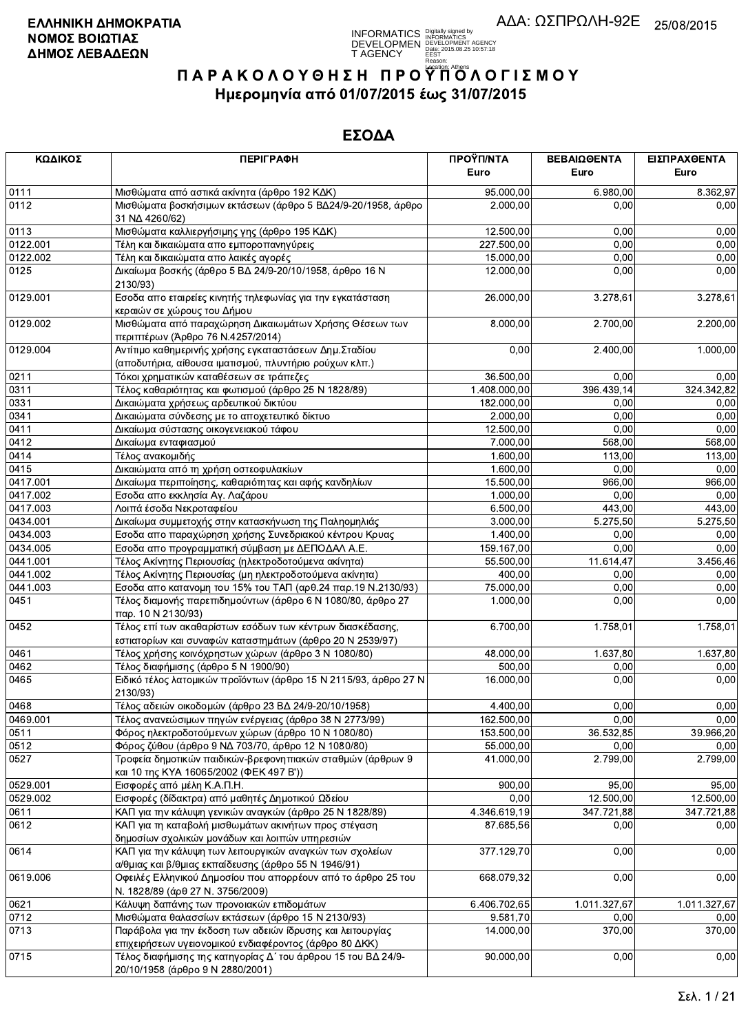**INFORMATICS** Digitally signed by<br>DEVELOPMEN DEVELOPMENT AGENCY<br>T AGENCY PERSY 2015.08.25 10:57:18<br>T AGENCY PERSY DIGITAL

# ΠΑΡΑΚΟΛΟΥΘΗΣΗ ΠΡΟΥΠΌΛΟΓΙΣΜΟΥ Ημερομηνία από 01/07/2015 έως 31/07/2015

| ΚΩΔΙΚΟΣ  | <b>ПЕРІГРАФН</b>                                                                                                 | ΠΡΟΫΠ/ΝΤΑ    | ΒΕΒΑΙΩΘΕΝΤΑ  | ΕΙΣΠΡΑΧΘΕΝΤΑ |
|----------|------------------------------------------------------------------------------------------------------------------|--------------|--------------|--------------|
|          |                                                                                                                  | Euro         | Euro         | Euro         |
| 0111     | Μισθώματα από αστικά ακίνητα (άρθρο 192 ΚΔΚ)                                                                     | 95.000,00    | 6.980,00     | 8.362,97     |
| 0112     | Μισθώματα βοσκήσιμων εκτάσεων (άρθρο 5 ΒΔ24/9-20/1958, άρθρο<br>31 NA 4260/62)                                   | 2.000,00     | 0,00         | 0,00         |
| 0113     | Μισθώματα καλλιεργήσιμης γης (άρθρο 195 ΚΔΚ)                                                                     | 12.500,00    | 0,00         | 0,00         |
| 0122.001 | Τέλη και δικαιώματα απο εμποροπανηγύρεις                                                                         | 227.500,00   | 0,00         | 0,00         |
| 0122.002 | Τέλη και δικαιώματα απο λαικές αγορές                                                                            | 15.000,00    | 0,00         | 0,00         |
| 0125     | Δικαίωμα βοσκής (άρθρο 5 ΒΔ 24/9-20/10/1958, άρθρο 16 Ν                                                          | 12.000,00    | 0,00         | 0,00         |
|          | 2130/93)                                                                                                         |              |              |              |
| 0129.001 | Εσοδα απο εταιρείες κινητής τηλεφωνίας για την εγκατάσταση<br>κεραιών σε χώρους του Δήμου                        | 26.000,00    | 3.278,61     | 3.278,61     |
| 0129.002 | Μισθώματα από παραχώρηση Δικαιωμάτων Χρήσης Θέσεων των<br>περιπτέρων (Άρθρο 76 Ν.4257/2014)                      | 8.000,00     | 2.700,00     | 2.200,00     |
| 0129.004 | Αντίτιμο καθημερινής χρήσης εγκαταστάσεων Δημ. Σταδίου                                                           | 0,00         | 2.400,00     | 1.000,00     |
|          | (αποδυτήρια, αίθουσα ιματισμού, πλυντήριο ρούχων κλπ.)                                                           |              |              |              |
| 0211     | Τόκοι χρηματικών καταθέσεων σε τράπεζες                                                                          | 36.500,00    | 0,00         | 0,00         |
| 0311     | Τέλος καθαριότητας και φωτισμού (άρθρο 25 Ν 1828/89)                                                             | 1.408.000,00 | 396.439,14   | 324.342,82   |
| 0331     | Δικαιώματα χρήσεως αρδευτικού δικτύου                                                                            | 182.000,00   | 0,00         | 0,00         |
| 0341     | Δικαιώματα σύνδεσης με το αποχετευτικό δίκτυο                                                                    | 2.000,00     | 0,00         | 0,00         |
| 0411     | Δικαίωμα σύστασης οικογενειακού τάφου                                                                            | 12.500,00    | 0,00         | 0,00         |
| 0412     | Δικαίωμα ενταφιασμού                                                                                             | 7.000,00     | 568,00       | 568,00       |
| 0414     | Τέλος ανακομιδής                                                                                                 | 1.600,00     | 113,00       | 113,00       |
| 0415     | Δικαιώματα από τη χρήση οστεοφυλακίων                                                                            | 1.600,00     | 0,00         | 0,00         |
| 0417.001 | Δικαίωμα περιποίησης, καθαριότητας και αφής κανδηλίων                                                            | 15.500,00    | 966,00       | 966,00       |
| 0417.002 | Εσοδα απο εκκλησία Αγ. Λαζάρου                                                                                   | 1.000,00     | 0,00         | 0,00         |
| 0417.003 | Λοιπά έσοδα Νεκροταφείου                                                                                         | 6.500,00     | 443,00       | 443,00       |
| 0434.001 | Δικαίωμα συμμετοχής στην κατασκήνωση της Παληομηλιάς                                                             | 3.000,00     | 5.275,50     | 5.275,50     |
| 0434.003 | Εσοδα απο παραχώρηση χρήσης Συνεδριακού κέντρου Κρυας                                                            | 1.400,00     | 0,00         | 0,00         |
| 0434.005 | Εσοδα απο προγραμματική σύμβαση με ΔΕΠΟΔΑΛ Α.Ε.                                                                  | 159.167,00   | 0,00         | 0,00         |
| 0441.001 | Τέλος Ακίνητης Περιουσίας (ηλεκτροδοτούμενα ακίνητα)                                                             | 55.500,00    | 11.614,47    | 3.456,46     |
| 0441.002 | Τέλος Ακίνητης Περιουσίας (μη ηλεκτροδοτούμενα ακίνητα)                                                          | 400,00       | 0,00         | 0,00         |
| 0441.003 | Εσοδα απο κατανομη του 15% του ΤΑΠ (αρθ.24 παρ.19 Ν.2130/93)                                                     | 75.000,00    | 0,00         | 0,00         |
| 0451     | Τέλος διαμονής παρεπιδημούντων (άρθρο 6 Ν 1080/80, άρθρο 27                                                      | 1.000,00     | 0,00         | 0,00         |
| 0452     | παρ. 10 N 2130/93)<br>Τέλος επί των ακαθαρίστων εσόδων των κέντρων διασκέδασης,                                  | 6.700,00     | 1.758,01     | 1.758,01     |
|          | εστιατορίων και συναφών καταστημάτων (άρθρο 20 Ν 2539/97)                                                        |              |              |              |
| 0461     | Τέλος χρήσης κοινόχρηστων χώρων (άρθρο 3 Ν 1080/80)                                                              | 48.000,00    | 1.637,80     | 1.637,80     |
| 0462     | Τέλος διαφήμισης (άρθρο 5 Ν 1900/90)                                                                             | 500,00       | 0,00         | 0,00         |
| 0465     | Ειδικό τέλος λατομικών προϊόντων (άρθρο 15 Ν 2115/93, άρθρο 27 Ν<br>2130/93)                                     | 16.000,00    | 0,00         | 0,00         |
| 0468     | Τέλος αδειών οικοδομών (άρθρο 23 ΒΔ 24/9-20/10/1958)                                                             | 4.400,00     | 0,00         | 0,00         |
| 0469.001 | Τέλος ανανεώσιμων πηγών ενέργειας (άρθρο 38 Ν 2773/99)                                                           | 162.500,00   | 0,00         | 0,00         |
| 0511     | Φόρος ηλεκτροδοτούμενων χώρων (άρθρο 10 Ν 1080/80)                                                               | 153.500,00   | 36.532,85    | 39.966,20    |
| 0512     | Φόρος ζύθου (άρθρο 9 ΝΔ 703/70, άρθρο 12 Ν 1080/80)                                                              | 55.000,00    | 0,00         | 0,00         |
| 0527     | Τροφεία δημοτικών παιδικών-βρεφονηπιακών σταθμών (άρθρων 9                                                       | 41.000,00    | 2.799,00     | 2.799,00     |
|          | και 10 της ΚΥΑ 16065/2002 (ΦΕΚ 497 Β'))                                                                          |              |              |              |
| 0529.001 | Εισφορές από μέλη Κ.Α.Π.Η.<br>Εισφορές (δίδακτρα) από μαθητές Δημοτικού Ωδείου                                   | 900,00       | 95,00        | 95,00        |
| 0529.002 |                                                                                                                  | 0,00         | 12.500,00    | 12.500,00    |
| 0611     | ΚΑΠ για την κάλυψη γενικών αναγκών (άρθρο 25 Ν 1828/89)                                                          | 4.346.619,19 | 347.721,88   | 347.721,88   |
| 0612     | ΚΑΠ για τη καταβολή μισθωμάτων ακινήτων προς στέγαση<br>δημοσίων σχολικών μονάδων και λοιπών υπηρεσιών           | 87.685,56    | 0.00         | 0,00         |
| 0614     | ΚΑΠ για την κάλυψη των λειτουργικών αναγκών των σχολείων<br>α/θμιας και β/θμιας εκπαίδευσης (άρθρο 55 Ν 1946/91) | 377.129,70   | 0,00         | 0,00         |
| 0619.006 | Οφειλές Ελληνικού Δημοσίου που απορρέουν από το άρθρο 25 του<br>Ν. 1828/89 (άρθ 27 Ν. 3756/2009)                 | 668.079,32   | 0,00         | 0,00         |
| 0621     | Κάλυψη δαπάνης των προνοιακών επιδομάτων                                                                         | 6.406.702,65 | 1.011.327,67 | 1.011.327,67 |
| 0712     | Μισθώματα θαλασσίων εκτάσεων (άρθρο 15 Ν 2130/93)                                                                | 9.581,70     | 0,00         | 0,00         |
| 0713     | Παράβολα για την έκδοση των αδειών ίδρυσης και λειτουργίας                                                       | 14.000,00    | 370,00       | 370,00       |
|          | επιχειρήσεων υγειονομικού ενδιαφέροντος (άρθρο 80 ΔΚΚ)                                                           |              |              |              |
| 0715     | Τέλος διαφήμισης της κατηγορίας Δ΄ του άρθρου 15 του ΒΔ 24/9-<br>20/10/1958 (άρθρο 9 Ν 2880/2001)                | 90.000,00    | 0,00         | 0,00         |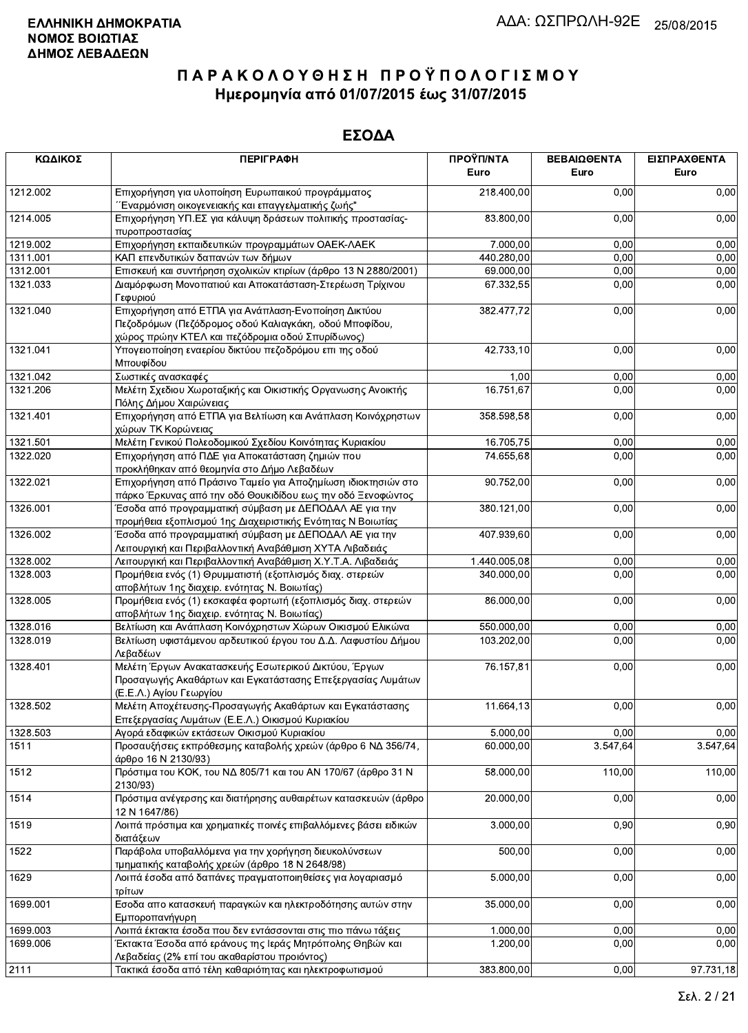| ΚΩΔΙΚΟΣ  | <b>ПЕРІГРАФН</b>                                                                                                                              | ΠΡΟΫΠ/ΝΤΑ<br>Euro | ΒΕΒΑΙΩΘΕΝΤΑ<br>Euro | ΕΙΣΠΡΑΧΘΕΝΤΑ<br>Euro |
|----------|-----------------------------------------------------------------------------------------------------------------------------------------------|-------------------|---------------------|----------------------|
| 1212.002 | Επιχορήγηση για υλοποίηση Ευρωπαικού προγράμματος<br>΄΄Εναρμόνιση οικογενειακής και επαγγελματικής ζωής"                                      | 218.400,00        | 0,00                | 0,00                 |
| 1214.005 | Επιχορήγηση ΥΠ.ΕΣ για κάλυψη δράσεων πολιτικής προστασίας-<br>πυροπροστασίας                                                                  | 83.800,00         | 0,00                | 0,00                 |
| 1219.002 | Επιχορήγηση εκπαιδευτικών προγραμμάτων ΟΑΕΚ-ΛΑΕΚ                                                                                              | 7.000,00          | 0,00                | 0,00                 |
| 1311.001 | ΚΑΠ επενδυτικών δαπανών των δήμων                                                                                                             | 440.280,00        | 0,00                | 0,00                 |
| 1312.001 | Επισκευή και συντήρηση σχολικών κτιρίων (άρθρο 13 Ν 2880/2001)                                                                                | 69.000,00         | 0,00                | 0,00                 |
| 1321.033 | Διαμόρφωση Μονοπατιού και Αποκατάσταση-Στερέωση Τρίχινου                                                                                      | 67.332,55         | 0,00                | 0,00                 |
| 1321.040 | Γεφυριού<br>Επιχορήγηση από ΕΤΠΑ για Ανάπλαση-Ενοποίηση Δικτύου<br>Πεζοδρόμων (Πεζόδρομος οδού Καλιαγκάκη, οδού Μποφίδου,                     | 382.477,72        | 0,00                | 0,00                 |
| 1321.041 | χώρος πρώην ΚΤΕΛ και πεζόδρομια οδού Σπυρίδωνος)<br>Υπογειοποίηση εναερίου δικτύου πεζοδρόμου επι της οδού                                    | 42.733,10         | 0,00                | 0,00                 |
|          | Μπουφίδου                                                                                                                                     |                   |                     |                      |
| 1321.042 | Σωστικές ανασκαφές                                                                                                                            | 1,00              | 0,00                | 0,00                 |
| 1321.206 | Μελέτη Σχεδιου Χωροταξικής και Οικιστικής Οργανωσης Ανοικτής<br>Πόλης Δήμου Χαιρώνειας                                                        | 16.751,67         | 0,00                | 0,00                 |
| 1321.401 | Επιχορήγηση από ΕΤΠΑ για Βελτίωση και Ανάπλαση Κοινόχρηστων<br>χώρων ΤΚ Κορώνειας                                                             | 358.598,58        | 0,00                | 0,00                 |
| 1321.501 | Μελέτη Γενικού Πολεοδομικού Σχεδίου Κοινότητας Κυριακίου                                                                                      | 16.705,75         | 0,00                | 0,00                 |
| 1322.020 | Επιχορήγηση από ΠΔΕ για Αποκατάσταση ζημιών που<br>προκλήθηκαν από θεομηνία στο Δήμο Λεβαδέων                                                 | 74.655,68         | 0,00                | 0,00                 |
| 1322.021 | Επιχορήγηση από Πράσινο Ταμείο για Αποζημίωση ιδιοκτησιών στο                                                                                 | 90.752,00         | 0,00                | 0,00                 |
| 1326.001 | πάρκο Έρκυνας από την οδό Θουκιδίδου εως την οδό Ξενοφώντος<br>Έσοδα από προγραμματική σύμβαση με ΔΕΠΟΔΑΛ ΑΕ για την                          | 380.121,00        | 0,00                | 0,00                 |
| 1326.002 | προμήθεια εξοπλισμού 1ης Διαχειριστικής Ενότητας Ν Βοιωτίας<br>Έσοδα από προγραμματική σύμβαση με ΔΕΠΟΔΑΛ ΑΕ για την                          | 407.939,60        | 0,00                | 0,00                 |
|          | Λειτουργική και Περιβαλλοντική Αναβάθμιση ΧΥΤΑ Λιβαδειάς                                                                                      |                   |                     |                      |
| 1328.002 | Λειτουργική και Περιβαλλοντική Αναβάθμιση Χ.Υ.Τ.Α. Λιβαδειάς                                                                                  | 1.440.005,08      | 0,00                | 0,00                 |
| 1328.003 | Προμήθεια ενός (1) Θρυμματιστή (εξοπλισμός διαχ. στερεών<br>αποβλήτων 1ης διαχειρ. ενότητας Ν. Βοιωτίας)                                      | 340.000,00        | 0,00                | 0,00                 |
| 1328.005 | Προμήθεια ενός (1) εκσκαφέα φορτωτή (εξοπλισμός διαχ. στερεών<br>αποβλήτων 1ης διαχειρ. ενότητας Ν. Βοιωτίας)                                 | 86.000,00         | 0,00                | 0,00                 |
| 1328.016 | Βελτίωση και Ανάπλαση Κοινόχρηστων Χώρων Οικισμού Ελικώνα                                                                                     | 550.000,00        | 0,00                | 0,00                 |
| 1328.019 | Βελτίωση υφιστάμενου αρδευτικού έργου του Δ.Δ. Λαφυστίου Δήμου<br>Λεβαδέων                                                                    | 103.202,00        | 0,00                | 0,00                 |
| 1328.401 | Μελέτη Έργων Ανακατασκευής Εσωτερικού Δικτύου, Έργων<br>Προσαγωγής Ακαθάρτων και Εγκατάστασης Επεξεργασίας Λυμάτων<br>(Ε.Ε.Λ.) Αγίου Γεωργίου | 76.157,81         | 0,00                | 0,00                 |
| 1328.502 | Μελέτη Αποχέτευσης-Προσαγωγής Ακαθάρτων και Εγκατάστασης<br>Επεξεργασίας Λυμάτων (Ε.Ε.Λ.) Οικισμού Κυριακίου                                  | 11.664,13         | 0,00                | 0,00                 |
| 1328.503 | Αγορά εδαφικών εκτάσεων Οικισμού Κυριακίου                                                                                                    | 5.000,00          | 0,00                | 0,00                 |
| 1511     | Προσαυξήσεις εκπρόθεσμης καταβολής χρεών (άρθρο 6 ΝΔ 356/74,                                                                                  | 60.000,00         | 3.547,64            | 3.547,64             |
| 1512     | άρθρο 16 Ν 2130/93)<br>Πρόστιμα του ΚΟΚ, του ΝΔ 805/71 και του ΑΝ 170/67 (άρθρο 31 Ν<br>2130/93)                                              | 58.000,00         | 110,00              | 110,00               |
| 1514     | Πρόστιμα ανέγερσης και διατήρησης αυθαιρέτων κατασκευών (άρθρο<br>12 N 1647/86)                                                               | 20.000,00         | 0,00                | 0,00                 |
| 1519     | Λοιπά πρόστιμα και χρηματικές ποινές επιβαλλόμενες βάσει ειδικών<br>διατάξεων                                                                 | 3.000,00          | 0,90                | 0,90                 |
| 1522     | Παράβολα υποβαλλόμενα για την χορήγηση διευκολύνσεων<br>τμηματικής καταβολής χρεών (άρθρο 18 Ν 2648/98)                                       | 500,00            | 0,00                | 0,00                 |
| 1629     | Λοιπά έσοδα από δαπάνες πραγματοποιηθείσες για λογαριασμό                                                                                     | 5.000,00          | 0,00                | 0,00                 |
| 1699.001 | τρίτων<br>Εσοδα απο κατασκευή παραγκών και ηλεκτροδότησης αυτών στην                                                                          | 35.000,00         | 0,00                | 0,00                 |
|          | Εμποροπανήγυρη                                                                                                                                |                   |                     |                      |
| 1699.003 | Λοιπά έκτακτα έσοδα που δεν εντάσσονται στις πιο πάνω τάξεις                                                                                  | 1.000,00          | 0,00                | 0,00                 |
| 1699.006 | Έκτακτα Έσοδα από εράνους της Ιεράς Μητρόπολης Θηβών και<br>Λεβαδείας (2% επί του ακαθαρίστου προιόντος)                                      | 1.200,00          | 0,00                | 0,00                 |
| 2111     | Τακτικά έσοδα από τέλη καθαριότητας και ηλεκτροφωτισμού                                                                                       | 383.800,00        | 0,00                | 97.731,18            |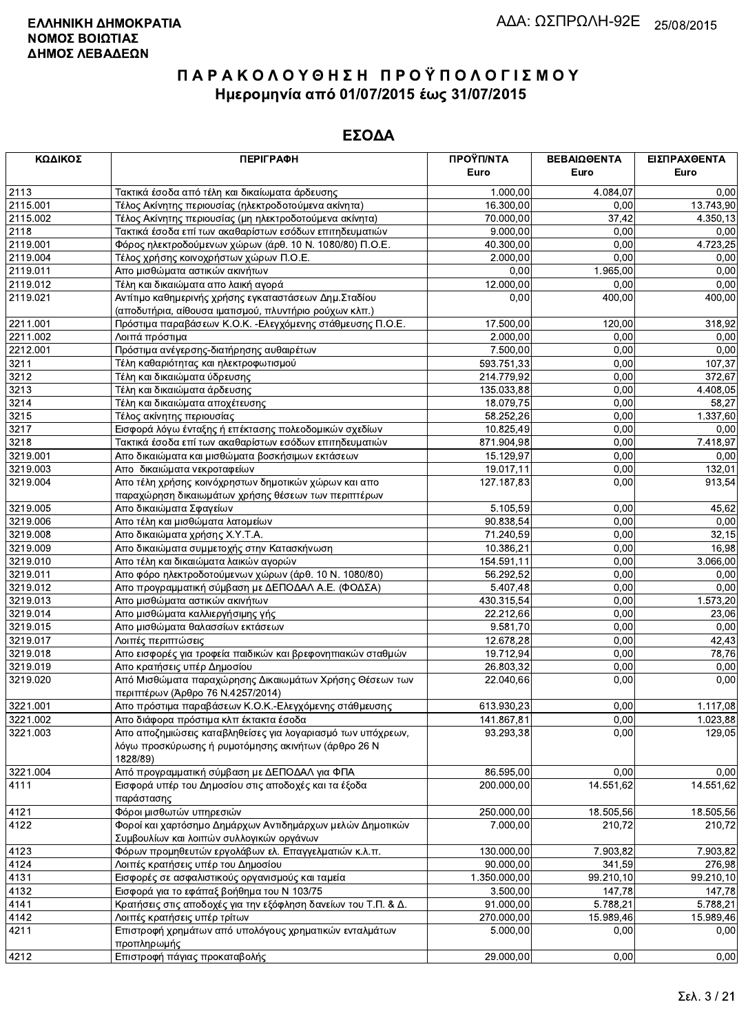| ΚΩΔΙΚΟΣ      | <b>ПЕРІГРАФН</b>                                               | ΠΡΟΫΠ/ΝΤΑ               | ΒΕΒΑΙΩΘΕΝΤΑ        | ΕΙΣΠΡΑΧΘΕΝΤΑ        |
|--------------|----------------------------------------------------------------|-------------------------|--------------------|---------------------|
|              |                                                                | Euro                    | Euro               | Euro                |
| 2113         | Τακτικά έσοδα από τέλη και δικαίωματα άρδευσης                 | 1.000,00                | 4.084,07           | 0,00                |
| 2115.001     | Τέλος Ακίνητης περιουσίας (ηλεκτροδοτούμενα ακίνητα)           | 16.300,00               | 0,00               | 13.743,90           |
| 2115.002     | Τέλος Ακίνητης περιουσίας (μη ηλεκτροδοτούμενα ακίνητα)        | 70.000,00               | 37,42              | 4.350,13            |
| 2118         | Τακτικά έσοδα επί των ακαθαρίστων εσόδων επιτηδευματιών        | 9.000,00                | 0,00               | 0,00                |
| 2119.001     | Φόρος ηλεκτροδούμενων χώρων (άρθ. 10 Ν. 1080/80) Π.Ο.Ε.        | 40.300,00               | 0,00               | 4.723,25            |
| 2119.004     | Τέλος χρήσης κοινοχρήστων χώρων Π.Ο.Ε.                         | 2.000,00                | 0,00               | 0,00                |
| 2119.011     | Απο μισθώματα αστικών ακινήτων                                 | 0,00                    | 1.965,00           | 0,00                |
| 2119.012     | Τέλη και δικαιώματα απο λαική αγορά                            | 12.000,00               | 0,00               | 0,00                |
| 2119.021     | Αντίτιμο καθημερινής χρήσης εγκαταστάσεων Δημ. Σταδίου         | 0,00                    | 400,00             | 400,00              |
|              | (αποδυτήρια, αίθουσα ιματισμού, πλυντήριο ρούχων κλπ.)         |                         |                    |                     |
| 2211.001     | Πρόστιμα παραβάσεων Κ.Ο.Κ. - Ελεγχόμενης στάθμευσης Π.Ο.Ε.     | 17.500,00               | 120,00             | 318,92              |
| 2211.002     | Λοιπά πρόστιμα                                                 | 2.000,00                | 0,00               | 0,00                |
| 2212.001     | Πρόστιμα ανέγερσης-διατήρησης αυθαιρέτων                       | 7.500,00                | 0,00               | 0,00                |
| 3211         | Τέλη καθαριότητας και ηλεκτροφωτισμού                          | 593.751,33              | 0,00               | 107,37              |
| 3212         | Τέλη και δικαιώματα ύδρευσης                                   | 214.779,92              | 0,00               | 372,67              |
| 3213         | Τέλη και δικαιώματα άρδευσης                                   | 135.033,88              | 0,00               | 4.408,05            |
| 3214         | Τέλη και δικαιώματα αποχέτευσης                                | 18.079,75               | 0,00               | 58,27               |
| 3215         | Τέλος ακίνητης περιουσίας                                      | 58.252,26               | 0,00               | 1.337,60            |
| 3217         | Εισφορά λόγω ένταξης ή επέκτασης πολεοδομικών σχεδίων          | 10.825,49               | 0,00               | 0,00                |
| 3218         | Τακτικά έσοδα επί των ακαθαρίστων εσόδων επιτηδευματιών        | 871.904,98              | 0,00               | 7.418,97            |
| 3219.001     | Απο δικαιώματα και μισθώματα βοσκήσιμων εκτάσεων               | 15.129,97               | 0,00               | 0,00                |
| 3219.003     | Απο δικαιώματα νεκροταφείων                                    | 19.017,11               | 0,00               | 132,01              |
| 3219.004     | Απο τέλη χρήσης κοινόχρηστων δημοτικών χώρων και απο           | 127.187,83              | 0,00               | 913,54              |
|              | παραχώρηση δικαιωμάτων χρήσης θέσεων των περιπτέρων            |                         |                    |                     |
| 3219.005     | Απο δικαιώματα Σφαγείων                                        | 5.105,59                | 0,00               | 45,62               |
| 3219.006     | Απο τέλη και μισθώματα λατομείων                               | 90.838,54               | 0,00               | 0,00                |
| 3219.008     | Απο δικαιώματα χρήσης Χ.Υ.Τ.Α.                                 | 71.240,59               | 0,00               | 32,15               |
| 3219.009     | Απο δικαιώματα συμμετοχής στην Κατασκήνωση                     | 10.386,21               | 0,00               | 16,98               |
| 3219.010     | Απο τέλη και δικαιώματα λαικών αγορών                          | 154.591,11              | 0,00               | 3.066,00            |
| 3219.011     | Απο φόρο ηλεκτροδοτούμενων χώρων (άρθ. 10 Ν. 1080/80)          | 56.292,52               | 0,00               | 0,00                |
| 3219.012     | Απο προγραμματική σύμβαση με ΔΕΠΟΔΑΛ Α.Ε. (ΦΟΔΣΑ)              | 5.407,48                | 0,00               | 0,00                |
| 3219.013     | Απο μισθώματα αστικών ακινήτων                                 | 430.315,54              | 0,00               | 1.573,20            |
| 3219.014     | Απο μισθώματα καλλιεργήσιμης γής                               | 22.212,66               | 0,00               | 23,06               |
| 3219.015     | Απο μισθώματα θαλασσίων εκτάσεων                               | 9.581,70                | 0,00               | 0,00                |
| 3219.017     | Λοιπές περιπτώσεις                                             | 12.678,28               | 0,00               | 42,43               |
| 3219.018     | Απο εισφορές για τροφεία παιδικών και βρεφονηπιακών σταθμών    | 19.712,94               | 0,00               | 78,76               |
| 3219.019     | Απο κρατήσεις υπέρ Δημοσίου                                    | 26.803,32               | 0,00               | 0,00                |
| 3219.020     | Από Μισθώματα παραχώρησης Δικαιωμάτων Χρήσης Θέσεων των        | 22.040,66               | 0,00               | 0,00                |
|              | περιπτέρων (Άρθρο 76 Ν.4257/2014)                              |                         |                    |                     |
| 3221.001     | Απο πρόστιμα παραβάσεων Κ.Ο.Κ.-Ελεγχόμενης στάθμευσης          | 613.930,23              | 0,00               | 1.117,08            |
| 3221.002     | Απο διάφορα πρόστιμα κλπ έκτακτα έσοδα                         | 141.867,81              | 0,00               | 1.023,88            |
| 3221.003     | Απο αποζημιώσεις καταβληθείσες για λογαριασμό των υπόχρεων,    | 93.293,38               | 0,00               | 129,05              |
|              | λόγω προσκύρωσης ή ρυμοτόμησης ακινήτων (άρθρο 26 Ν            |                         |                    |                     |
|              | 1828/89)                                                       |                         |                    |                     |
| 3221.004     | Από προγραμματική σύμβαση με ΔΕΠΟΔΑΛ για ΦΠΑ                   | 86.595,00               | 0,00               | 0.00                |
| 4111         | Εισφορά υπέρ του Δημοσίου στις αποδοχές και τα έξοδα           | 200.000,00              | 14.551,62          | 14.551,62           |
|              | παράστασης                                                     |                         |                    |                     |
| 4121         | Φόροι μισθωτών υπηρεσιών                                       | $\overline{250.000,00}$ | 18.505,56          | 18.505,56           |
| 4122         | Φοροί και χαρτόσημο Δημάρχων Αντιδημάρχων μελών Δημοτικών      | 7.000,00                | 210,72             | 210.72              |
|              | Συμβουλίων και λοιπών συλλονικών οργάνων                       |                         |                    |                     |
| 4123         | Φόρων προμηθευτών εργολάβων ελ. Επαγγελματιών κ.λ.π.           | 130.000,00              | 7.903,82           | 7.903,82            |
| 4124         | Λοιπές κρατήσεις υπέρ του Δημοσίου                             | 90.000,00               | 341,59             | 276,98              |
| 4131         | Εισφορές σε ασφαλιστικούς οργανισμούς και ταμεία               | 1.350.000,00            | 99.210,10          |                     |
|              |                                                                | 3.500,00                |                    | 99.210,10<br>147,78 |
| 4132<br>4141 | Εισφορά για το εφάπαξ βοήθημα του Ν 103/75                     | 91.000,00               | 147,78<br>5.788,21 | 5.788,21            |
|              | Κρατήσεις στις αποδοχές για την εξόφληση δανείων του Τ.Π. & Δ. |                         |                    |                     |
| 4142         | Λοιπές κρατήσεις υπέρ τρίτων                                   | 270.000,00              | 15.989,46          | 15.989,46           |
| 4211         | Επιστροφή χρημάτων από υπολόγους χρηματικών ενταλμάτων         | 5.000,00                | 0,00               | 0,00                |
| 4212         | προπληρωμής<br>Επιστροφή πάνιας προκαταβολής                   | 29.000.00               | 0.00               | 0.00                |
|              |                                                                |                         |                    |                     |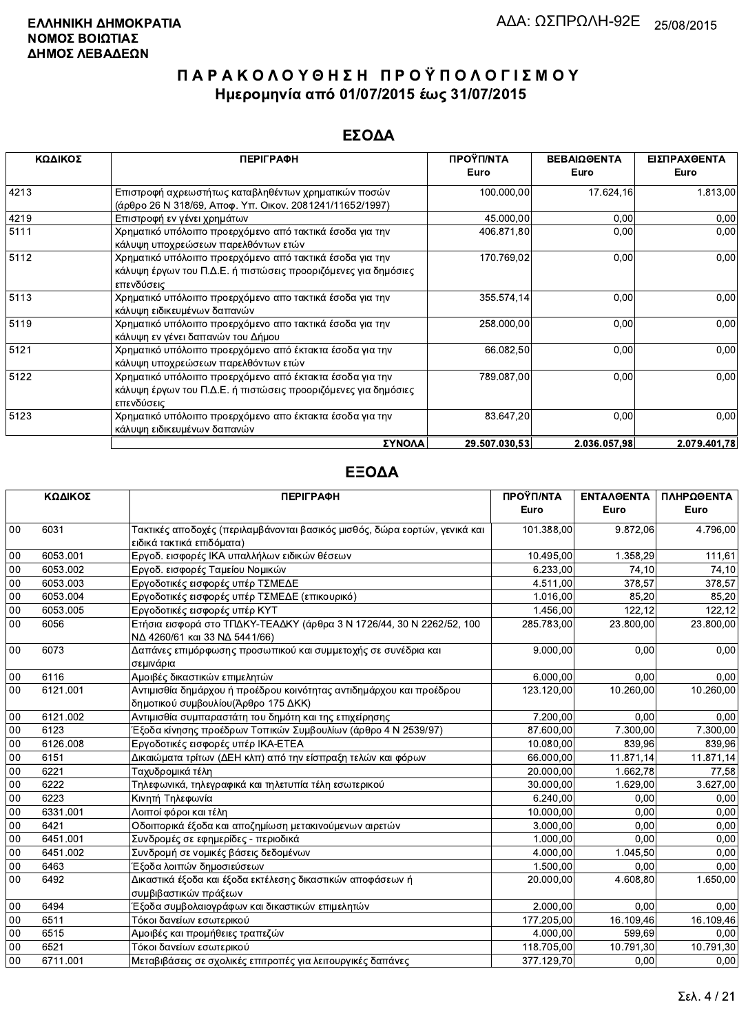### ΕΣΟΔΑ

| ΚΩΔΙΚΟΣ | <b>ПЕРІГРАФН</b>                                                                                                                         | ΠΡΟΫΠ/ΝΤΑ<br>Euro | ΒΕΒΑΙΩΘΕΝΤΑ<br>Euro | ΕΙΣΠΡΑΧΘΕΝΤΑ<br>Euro |
|---------|------------------------------------------------------------------------------------------------------------------------------------------|-------------------|---------------------|----------------------|
| 4213    | Επιστροφή αχρεωστήτως καταβληθέντων χρηματικών ποσών<br>(άρθρο 26 Ν 318/69, Αποφ. Υπ. Οικον. 2081241/11652/1997)                         | 100.000,00        | 17.624,16           | 1.813,00             |
| 4219    | Επιστροφή εν γένει χρημάτων                                                                                                              | 45.000,00         | 0,00                | 0,00                 |
| 5111    | Χρηματικό υπόλοιπο προερχόμενο από τακτικά έσοδα για την<br>κάλυψη υποχρεώσεων παρελθόντων ετών                                          | 406.871,80        | 0,00                | 0,00                 |
| 5112    | Χρηματικό υπόλοιπο προερχόμενο από τακτικά έσοδα για την<br>κάλυψη έργων του Π.Δ.Ε. ή πιστώσεις προοριζόμενες για δημόσιες<br>επενδύσεις | 170.769,02        | 0,00                | 0,00                 |
| 5113    | Χρηματικό υπόλοιπο προερχόμενο απο τακτικά έσοδα για την<br>κάλυψη ειδικευμένων δαπανών                                                  | 355 574,14        | 0,00                | 0,00                 |
| 5119    | Χρηματικό υπόλοιπο προερχόμενο απο τακτικά έσοδα για την<br>κάλυψη εν γένει δαπανών του Δήμου                                            | 258.000,00        | 0,00                | 0,00                 |
| 5121    | Χρηματικό υπόλοιπο προερχόμενο από έκτακτα έσοδα για την<br>κάλυψη υποχρεώσεων παρελθόντων ετών                                          | 66.082,50         | 0,00                | 0,00                 |
| 5122    | Χρηματικό υπόλοιπο προερχόμενο από έκτακτα έσοδα για την<br>κάλυψη έργων του Π.Δ.Ε. ή πιστώσεις προοριζόμενες για δημόσιες<br>επενδύσεις | 789.087,00        | 0.00                | 0,00                 |
| 5123    | Χρηματικό υπόλοιπο προερχόμενο απο έκτακτα έσοδα για την<br>κάλυψη ειδικευμένων δαπανών                                                  | 83.647,20         | 0,00                | 0,00                 |
|         | ΣΥΝΟΛΑ                                                                                                                                   | 29.507.030.53     | 2.036.057.98        | 2.079.401.78         |

|        | ΚΩΔΙΚΟΣ  | <b>ПЕРІГРАФН</b>                                                                                            | ΠΡΟΫΠ/ΝΤΑ  | <b>ENTAΛΘΕΝΤΑ</b> | ΠΛΗΡΩΘΕΝΤΑ |
|--------|----------|-------------------------------------------------------------------------------------------------------------|------------|-------------------|------------|
|        |          |                                                                                                             | Euro       | Euro              | Euro       |
| 00     | 6031     | Τακτικές αποδοχές (περιλαμβάνονται βασικός μισθός, δώρα εορτών, γενικά και<br>ειδικά τακτικά επιδόματα)     | 101.388,00 | 9.872,06          | 4.796,00   |
| $00\,$ | 6053.001 | Εργοδ. εισφορές ΙΚΑ υπαλλήλων ειδικών θέσεων                                                                | 10.495,00  | 1.358.29          | 111,61     |
| 00     | 6053.002 | Εργοδ. εισφορές Ταμείου Νομικών                                                                             | 6.233,00   | 74,10             | 74,10      |
| 00     | 6053.003 | Εργοδοτικές εισφορές υπέρ ΤΣΜΕΔΕ                                                                            | 4.511,00   | 378.57            | 378,57     |
| 00     | 6053.004 | Εργοδοτικές εισφορές υπέρ ΤΣΜΕΔΕ (επικουρικό)                                                               | 1.016,00   | 85.20             | 85,20      |
| $00\,$ | 6053.005 | Εργοδοτικές εισφορές υπέρ ΚΥΤ                                                                               | 1.456,00   | 122.12            | 122,12     |
| $00\,$ | 6056     | Ετήσια εισφορά στο ΤΠΔΚΥ-ΤΕΑΔΚΥ (άρθρα 3 Ν 1726/44, 30 Ν 2262/52, 100<br>ΝΔ 4260/61 και 33 ΝΔ 5441/66)      | 285.783,00 | 23.800,00         | 23.800,00  |
| 00     | 6073     | Δαπάνες επιμόρφωσης προσωπικού και συμμετοχής σε συνέδρια και<br>σεμινάρια                                  | 9.000,00   | 0,00              | 0,00       |
| 00     | 6116     | Αμοιβές δικαστικών επιμελητών                                                                               | 6.000,00   | 0.00              | 0,00       |
| 00     | 6121.001 | Αντιμισθία δημάρχου ή προέδρου κοινότητας αντιδημάρχου και προέδρου<br>δημοτικού συμβουλίου (Άρθρο 175 ΔΚΚ) | 123.120,00 | 10.260,00         | 10.260,00  |
| 00     | 6121.002 | Αντιμισθία συμπαραστάτη του δημότη και της επιχείρησης                                                      | 7.200,00   | 0,00              | 0,00       |
| 00     | 6123     | Έξοδα κίνησης προέδρων Τοπικών Συμβουλίων (άρθρο 4 Ν 2539/97)                                               | 87.600,00  | 7.300,00          | 7.300,00   |
| 00     | 6126.008 | Εργοδοτικές εισφορές υπέρ ΙΚΑ-ΕΤΕΑ                                                                          | 10.080,00  | 839.96            | 839,96     |
| 00     | 6151     | Δικαιώματα τρίτων (ΔΕΗ κλπ) από την είσπραξη τελών και φόρων                                                | 66.000,00  | 11.871,14         | 11.871,14  |
| 00     | 6221     | Ταχυδρομικά τέλη                                                                                            | 20.000,00  | 1.662,78          | 77,58      |
| 00     | 6222     | Τηλεφωνικά, τηλεγραφικά και τηλετυπία τέλη εσωτερικού                                                       | 30.000,00  | 1.629.00          | 3.627,00   |
| 00     | 6223     | Κινητή Τηλεφωνία                                                                                            | 6.240,00   | 0,00              | 0,00       |
| 00     | 6331.001 | Λοιποί φόροι και τέλη                                                                                       | 10.000,00  | 0,00              | 0.00       |
| 00     | 6421     | Οδοιπορικά έξοδα και αποζημίωση μετακινούμενων αιρετών                                                      | 3.000,00   | 0,00              | 0,00       |
| 00     | 6451.001 | Συνδρομές σε εφημερίδες - περιοδικά                                                                         | 1.000,00   | 0.00              | 0.00       |
| 00     | 6451.002 | Συνδρομή σε νομικές βάσεις δεδομένων                                                                        | 4.000,00   | 1.045,50          | 0,00       |
| $00\,$ | 6463     | Έξοδα λοιπών δημοσιεύσεων                                                                                   | 1.500,00   | 0,00              | 0,00       |
| $00\,$ | 6492     | Δικαστικά έξοδα και έξοδα εκτέλεσης δικαστικών αποφάσεων ή<br>συμβιβαστικών πράξεων                         | 20.000,00  | 4.608.80          | 1.650,00   |
| 00     | 6494     | Έξοδα συμβολαιογράφων και δικαστικών επιμελητών                                                             | 2.000,00   | 0.00              | 0.00       |
| 00     | 6511     | Τόκοι δανείων εσωτερικού                                                                                    | 177.205,00 | 16.109,46         | 16.109,46  |
| 00     | 6515     | Αμοιβές και προμήθειες τραπεζών                                                                             | 4.000,00   | 599,69            | 0,00       |
| 00     | 6521     | Τόκοι δανείων εσωτερικού                                                                                    | 118.705,00 | 10.791,30         | 10.791,30  |
| 00     | 6711.001 | Μεταβιβάσεις σε σχολικές επιτροπές για λειτουργικές δαπάνες                                                 | 377.129.70 | 0.00              | 0,00       |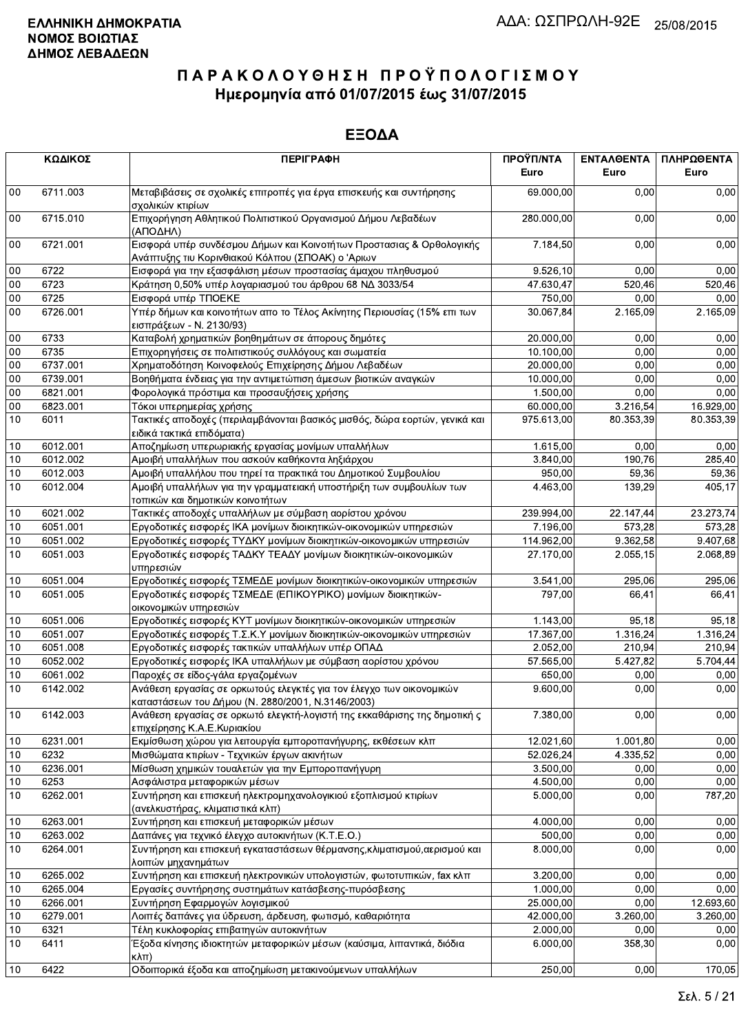|        | ΚΩΔΙΚΟΣ  | <b>ПЕРІГРАФН</b>                                                                                                          | ΠΡΟΫΠ/ΝΤΑ<br>Euro | ΕΝΤΑΛΘΕΝΤΑ<br>Euro | ΠΛΗΡΩΘΕΝΤΑ<br>Euro |
|--------|----------|---------------------------------------------------------------------------------------------------------------------------|-------------------|--------------------|--------------------|
| $00\,$ | 6711.003 | Μεταβιβάσεις σε σχολικές επιτροπές για έργα επισκευής και συντήρησης<br>σχολικών κτιρίων                                  | 69.000,00         | 0,00               | 0,00               |
| $00\,$ | 6715.010 | Επιχορήγηση Αθλητικού Πολιτιστικού Οργανισμού Δήμου Λεβαδέων<br>(ΑΠΟΔΗΛ)                                                  | 280.000,00        | 0,00               | 0,00               |
| $00\,$ | 6721.001 | Εισφορά υπέρ συνδέσμου Δήμων και Κοινοτήτων Προστασιας & Ορθολογικής<br>Ανάπτυξης τιυ Κορινθιακού Κόλπου (ΣΠΟΑΚ) ο 'Αριων | 7.184,50          | 0,00               | 0,00               |
| 00     | 6722     | Εισφορά για την εξασφάλιση μέσων προστασίας άμαχου πληθυσμού                                                              | 9.526,10          | 0.00               | 0,00               |
| 00     | 6723     | Κράτηση 0,50% υπέρ λογαριασμού του άρθρου 68 ΝΔ 3033/54                                                                   | 47.630,47         | 520,46             | 520,46             |
| 00     | 6725     | Εισφορά υπέρ ΤΠΟΕΚΕ                                                                                                       | 750,00            | 0,00               | 0,00               |
| 00     | 6726.001 | Υπέρ δήμων και κοινοτήτων απο το Τέλος Ακίνητης Περιουσίας (15% επι των<br>εισπράξεων - Ν. 2130/93)                       | 30.067,84         | 2.165,09           | 2.165,09           |
| 00     | 6733     | Καταβολή χρηματικών βοηθημάτων σε άπορους δημότες                                                                         | 20.000,00         | 0,00               | 0,00               |
| 00     | 6735     | Επιχορηγήσεις σε πολιτιστικούς συλλόγους και σωματεία                                                                     | 10.100,00         | 0,00               | 0,00               |
| 00     | 6737.001 | Χρηματοδότηση Κοινοφελούς Επιχείρησης Δήμου Λεβαδέων                                                                      | 20.000,00         | 0.00               | 0.00               |
| 00     | 6739.001 | Βοηθήματα ένδειας για την αντιμετώπιση άμεσων βιοτικών αναγκών                                                            | 10.000,00         | 0,00               | 0,00               |
| $00\,$ | 6821.001 | Φορολογικά πρόστιμα και προσαυξήσεις χρήσης                                                                               | 1.500,00          | 0.00               | 0,00               |
| 00     | 6823.001 | Τόκοι υπερημερίας χρήσης                                                                                                  | 60.000,00         | 3.216,54           | 16.929,00          |
| 10     | 6011     | Τακτικές αποδοχές (περιλαμβάνονται βασικός μισθός, δώρα εορτών, γενικά και<br>ειδικά τακτικά επιδόματα)                   | 975.613,00        | 80.353,39          | 80.353,39          |
| 10     | 6012.001 | Αποζημίωση υπερωριακής εργασίας μονίμων υπαλλήλων                                                                         | 1.615,00          | 0,00               | 0,00               |
| 10     | 6012.002 | Αμοιβή υπαλλήλων που ασκούν καθήκοντα ληξιάρχου                                                                           | 3.840,00          | 190,76             | 285,40             |
| 10     | 6012.003 | Αμοιβή υπαλλήλου που τηρεί τα πρακτικά του Δημοτικού Συμβουλίου                                                           | 950,00            | 59,36              | 59,36              |
| 10     | 6012.004 | Αμοιβή υπαλλήλων για την γραμματειακή υποστήριξη των συμβουλίων των<br>τοπικών και δημοτικών κοινοτήτων                   | 4.463,00          | 139,29             | 405,17             |
| 10     | 6021.002 | Τακτικές αποδοχές υπαλλήλων με σύμβαση αορίστου χρόνου                                                                    | 239.994,00        | 22.147,44          | 23.273,74          |
| 10     | 6051.001 | Εργοδοτικές εισφορές ΙΚΑ μονίμων διοικητικών-οικονομικών υπηρεσιών                                                        | 7.196,00          | 573,28             | 573,28             |
| 10     | 6051.002 | Εργοδοτικές εισφορές ΤΥΔΚΥ μονίμων διοικητικών-οικονομικών υπηρεσιών                                                      | 114.962,00        | 9.362,58           | 9.407,68           |
| 10     | 6051.003 | Εργοδοτικές εισφορές ΤΑΔΚΥ ΤΕΑΔΥ μονίμων διοικητικών-οικονομικών<br>υπηρεσιών                                             | 27.170,00         | 2.055,15           | 2.068,89           |
| 10     | 6051.004 | Εργοδοτικές εισφορές ΤΣΜΕΔΕ μονίμων διοικητικών-οικονομικών υπηρεσιών                                                     | 3.541,00          | 295,06             | 295,06             |
| 10     | 6051.005 | Εργοδοτικές εισφορές ΤΣΜΕΔΕ (ΕΠΙΚΟΥΡΙΚΟ) μονίμων διοικητικών-<br>οικονομικών υπηρεσιών                                    | 797,00            | 66,41              | 66,41              |
| 10     | 6051.006 | Εργοδοτικές εισφορές ΚΥΤ μονίμων διοικητικών-οικονομικών υπηρεσιών                                                        | 1.143,00          | 95,18              | 95,18              |
| 10     | 6051.007 | Εργοδοτικές εισφορές Τ.Σ.Κ.Υ μονίμων διοικητικών-οικονομικών υπηρεσιών                                                    | 17.367,00         | 1.316,24           | 1.316,24           |
| 10     | 6051.008 | Εργοδοτικές εισφορές τακτικών υπαλλήλων υπέρ ΟΠΑΔ                                                                         | 2.052,00          | 210,94             | 210,94             |
| 10     | 6052.002 | Εργοδοτικές εισφορές ΙΚΑ υπαλλήλων με σύμβαση αορίστου χρόνου                                                             | 57.565,00         | 5.427,82           | 5.704,44           |
| 10     | 6061.002 | Παροχές σε είδος-γάλα εργαζομένων                                                                                         | 650,00            | 0,00               | 0,00               |
| 10     | 6142.002 | Ανάθεση εργασίας σε ορκωτούς ελεγκτές για τον έλεγχο των οικονομικών<br>καταστάσεων του Δήμου (Ν. 2880/2001, Ν.3146/2003) | 9.600,00          | 0,00               | 0,00               |
| 10     | 6142.003 | Ανάθεση εργασίας σε ορκωτό ελεγκτή-λογιστή της εκκαθάρισης της δημοτική ς<br>επιχείρησης Κ.Α.Ε.Κυριακίου                  | 7.380,00          | 0,00               | 0,00               |
| 10     | 6231.001 | Εκμίσθωση χώρου για λειτουργία εμποροπανήγυρης, εκθέσεων κλπ                                                              | 12.021,60         | 1.001,80           | 0,00               |
| 10     | 6232     | Μισθώματα κτιρίων - Τεχνικών έργων ακινήτων                                                                               | 52.026,24         | 4.335,52           | 0,00               |
| 10     | 6236.001 | Μίσθωση χημικών τουαλετών για την Εμποροπανήγυρη                                                                          | 3.500,00          | 0,00               | 0,00               |
| 10     | 6253     | Ασφάλιστρα μεταφορικών μέσων                                                                                              | 4.500,00          | 0,00               | 0,00               |
| 10     | 6262.001 | Συντήρηση και επισκευή ηλεκτρομηχανολογικιού εξοπλισμού κτιρίων<br>(ανελκυστήρας, κλιματιστικά κλπ)                       | 5.000,00          | 0,00               | 787,20             |
| 10     | 6263.001 | Συντήρηση και επισκευή μεταφορικών μέσων                                                                                  | 4.000,00          | 0,00               | 0,00               |
| 10     | 6263.002 | Δαπάνες για τεχνικό έλεγχο αυτοκινήτων (Κ.Τ.Ε.Ο.)                                                                         | 500,00            | 0,00               | 0,00               |
| 10     | 6264.001 | Συντήρηση και επισκευή εγκαταστάσεων θέρμανσης, κλιματισμού, αερισμού και<br>λοιπών μηχανημάτων                           | 8.000,00          | 0,00               | 0,00               |
| 10     | 6265.002 | Συντήρηση και επισκευή ηλεκτρονικών υπολογιστών, φωτοτυπικών, fax κλπ                                                     | 3.200,00          | 0,00               | 0,00               |
| 10     | 6265.004 | Εργασίες συντήρησης συστημάτων κατάσβεσης-πυρόσβεσης                                                                      | 1.000,00          | 0,00               | 0,00               |
| 10     | 6266.001 | Συντήρηση Εφαρμογών λογισμικού                                                                                            | 25.000,00         | 0,00               | 12.693,60          |
| 10     | 6279.001 | Λοιπές δαπάνες για ύδρευση, άρδευση, φωτισμό, καθαριότητα                                                                 | 42.000,00         | 3.260,00           | 3.260,00           |
| 10     | 6321     | Τέλη κυκλοφορίας επιβατηγών αυτοκινήτων                                                                                   | 2.000,00          | 0,00               | 0,00               |
| 10     | 6411     | Έξοδα κίνησης ιδιοκτητών μεταφορικών μέσων (καύσιμα, λιπαντικά, διόδια<br>$\kappa\lambda\pi$ )                            | 6.000,00          | 358,30             | 0,00               |
| 10     | 6422     | Οδοιπορικά έξοδα και αποζημίωση μετακινούμενων υπαλλήλων                                                                  | 250,00            | 0,00               | 170,05             |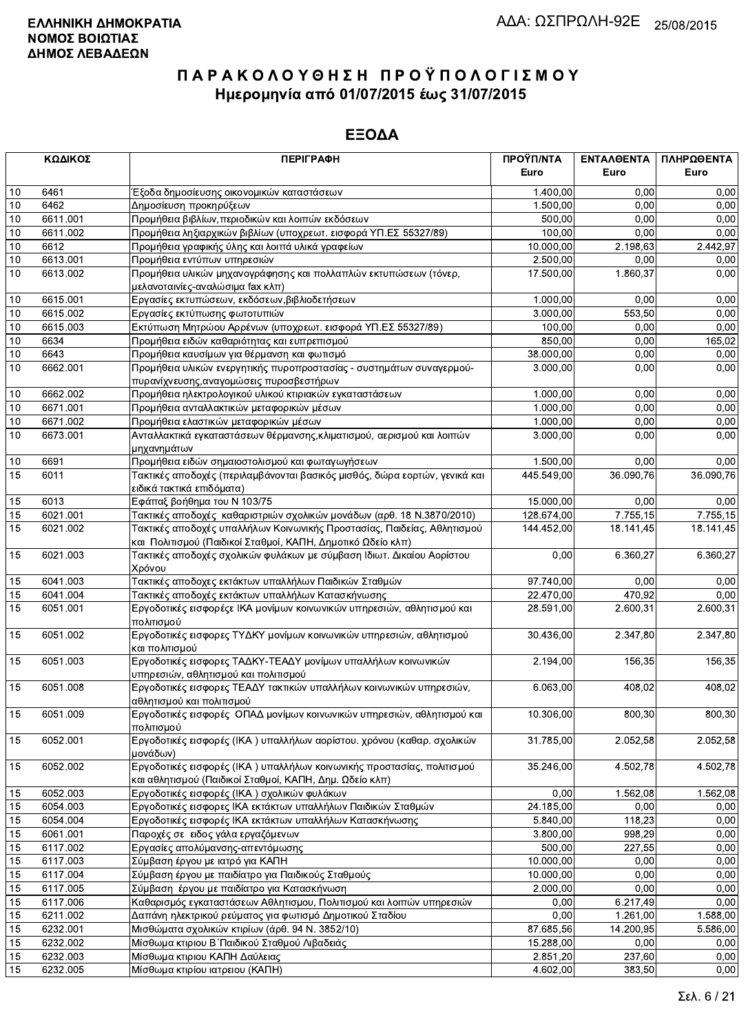|                 | ΚΩΔΙΚΟΣ  | <b>ПЕРІГРАФН</b>                                                                                                                  | ΠΡΟΫΠ/ΝΤΑ  | ΕΝΤΑΛΘΕΝΤΑ | ΠΛΗΡΩΘΕΝΤΑ |
|-----------------|----------|-----------------------------------------------------------------------------------------------------------------------------------|------------|------------|------------|
|                 |          |                                                                                                                                   | Euro       | Euro       | Euro       |
| 10              | 6461     | Έξοδα δημοσίευσης οικονομικών καταστάσεων                                                                                         | 1.400,00   | 0.00       | 0,00       |
| 10              | 6462     | Δημοσίευση προκηρύξεων                                                                                                            | 1.500,00   | 0,00       | 0,00       |
| 10              | 6611.001 | Προμήθεια βιβλίων, περιοδικών και λοιπών εκδόσεων                                                                                 | 500,00     | 0,00       | 0,00       |
| 10              | 6611.002 | Προμήθεια ληξιαρχικών βιβλίων (υποχρεωτ. εισφορά ΥΠ.ΕΣ 55327/89)                                                                  | 100,00     | 0,00       | 0,00       |
| $10$            | 6612     | Προμήθεια γραφικής ύλης και λοιπά υλικά γραφείων                                                                                  | 10.000,00  | 2.198,63   | 2.442,97   |
| 10              | 6613.001 | Προμήθεια εντύπων υπηρεσιών                                                                                                       | 2.500,00   | 0,00       | 0,00       |
| 10              | 6613.002 | Προμήθεια υλικών μηχανογράφησης και πολλαπλών εκτυπώσεων (τόνερ,                                                                  | 17.500,00  | 1.860,37   | 0,00       |
|                 |          | μελανοταινίες-αναλώσιμα fax κλπ)                                                                                                  |            |            |            |
| 10              | 6615.001 | Εργασίες εκτυπώσεων, εκδόσεων, βιβλιοδετήσεων                                                                                     | 1.000,00   | 0.00       | 0,00       |
| $10$            | 6615.002 | Εργασίες εκτύπωσης φωτοτυπιών                                                                                                     | 3.000,00   | 553.50     | 0,00       |
| 10              | 6615.003 | Εκτύπωση Μητρώου Αρρένων (υποχρεωτ. εισφορά ΥΠ.ΕΣ 55327/89)                                                                       | 100.00     | 0,00       | 0,00       |
| 10              | 6634     | Προμήθεια ειδών καθαριότητας και ευπρεπισμού                                                                                      | 850,00     | 0,00       | 165,02     |
| 10              | 6643     | Προμήθεια καυσίμων για θέρμανση και φωτισμό                                                                                       | 38.000,00  | 0,00       | 0,00       |
| 10              | 6662.001 | Προμήθεια υλικών ενεργητικής πυροπροστασίας - συστημάτων συναγερμού-                                                              | 3.000,00   | 0,00       | 0,00       |
|                 |          | πυρανίχνευσης, αναγομώσεις πυροσβεστήρων                                                                                          |            |            |            |
| 10              | 6662.002 | Προμήθεια ηλεκτρολογικού υλικού κτιριακών εγκαταστάσεων                                                                           | 1.000,00   | 0,00       | 0,00       |
| 10              | 6671.001 | Προμήθεια ανταλλακτικών μεταφορικών μέσων                                                                                         | 1.000,00   | 0,00       | 0,00       |
| 10              | 6671.002 | Προμήθεια ελαστικών μεταφορικών μέσων                                                                                             | 1.000,00   | 0,00       | 0,00       |
| 10              | 6673.001 | Ανταλλακτικά εγκαταστάσεων θέρμανσης, κλιματισμού, αερισμού και λοιπών                                                            | 3.000,00   | 0.00       | 0,00       |
|                 |          | μηχανημάτων                                                                                                                       |            |            |            |
| 10              | 6691     | Προμήθεια ειδών σημαιοστολισμού και φωταγωγήσεων                                                                                  | 1.500,00   | 0.00       | 0,00       |
| $\overline{15}$ | 6011     | Τακτικές αποδοχές (περιλαμβάνονται βασικός μισθός, δώρα εορτών, γενικά και<br>ειδικά τακτικά επιδόματα)                           | 445.549,00 | 36.090,76  | 36.090,76  |
| 15              | 6013     | Εφάπαξ βοήθημα του Ν 103/75                                                                                                       | 15.000,00  | 0,00       | 0,00       |
| 15              | 6021.001 | Τακτικές αποδοχές καθαριστριών σχολικών μονάδων (αρθ. 18 Ν.3870/2010)                                                             | 128.674,00 | 7.755.15   | 7.755.15   |
| 15              | 6021.002 | Τακτικές αποδοχές υπαλλήλων Κοινωνικής Προστασίας, Παιδείας, Αθλητισμού                                                           | 144.452,00 | 18.141,45  | 18.141,45  |
|                 |          | και Πολιτισμού (Παιδικοί Σταθμοί, ΚΑΠΗ, Δημοτικό Ωδείο κλπ)                                                                       |            |            |            |
| 15              | 6021.003 | Τακτικές αποδοχές σχολικών φυλάκων με σύμβαση Ιδιωτ. Δικαίου Αορίστου<br>Χρόνου                                                   | 0,00       | 6.360,27   | 6.360,27   |
| 15              | 6041.003 | Τακτικές αποδοχες εκτάκτων υπαλλήλων Παιδικών Σταθμών                                                                             | 97.740,00  | 0,00       | 0,00       |
| 15              | 6041.004 | Τακτικές αποδοχές εκτάκτων υπαλλήλων Κατασκήνωσης                                                                                 | 22.470,00  | 470,92     | 0,00       |
| 15              | 6051.001 | Εργοδοτικές εισφορέςε ΙΚΑ μονίμων κοινωνικών υπηρεσιών, αθλητισμού και<br>πολιτισμού                                              | 28.591,00  | 2.600,31   | 2.600,31   |
| 15              | 6051.002 | Εργοδοτικές εισφορες ΤΥΔΚΥ μονίμων κοινωνικών υπηρεσιών, αθλητισμού<br>και πολιτισμού                                             | 30.436,00  | 2.347,80   | 2.347,80   |
| 15              | 6051.003 | Εργοδοτικές εισφορες ΤΑΔΚΥ-ΤΕΑΔΥ μονίμων υπαλλήλων κοινωνικών                                                                     | 2.194,00   | 156,35     | 156,35     |
| 15              | 6051.008 | υπηρεσιών, αθλητισμού και πολιτισμού<br>Εργοδοτικές εισφορες ΤΕΑΔΥ τακτικών υπαλλήλων κοινωνικών υπηρεσιών,                       | 6.063,00   | 408,02     | 408,02     |
| 15              | 6051.009 | αθλητισμού και πολιτισμού<br>Εργοδοτικές εισφορές ΟΠΑΔ μονίμων κοινωνικών υπηρεσιών, αθλητισμού και                               | 10.306,00  | 800,30     | 800,30     |
|                 |          | πολιτισμού<br>Εργοδοτικές εισφορές (ΙΚΑ) υπαλλήλων αορίστου. χρόνου (καθαρ. σχολικών                                              |            |            | 2.052,58   |
| 15              | 6052.001 | μονάδων)                                                                                                                          | 31.785,00  | 2.052,58   |            |
| 15              | 6052.002 | Εργοδοτικές εισφορές (ΙΚΑ) υπαλλήλων κοινωνικής προστασίας, πολιτισμού<br>και αθλητισμού (Παιδικοί Σταθμοί, ΚΑΠΗ, Δημ. Ωδείο κλπ) | 35.246,00  | 4.502,78   | 4.502,78   |
| 15              | 6052.003 | Εργοδοτικές εισφορές (ΙΚΑ) σχολικών φυλάκων                                                                                       | 0,00       | 1.562,08   | 1.562,08   |
| 15              | 6054.003 | Εργοδοτικές εισφορες ΙΚΑ εκτάκτων υπαλλήλων Παιδικών Σταθμών                                                                      | 24.185,00  | 0,00       | 0,00       |
| 15              | 6054.004 | Εργοδοτικές εισφορές ΙΚΑ εκτάκτων υπαλλήλων Κατασκήνωσης                                                                          | 5.840,00   | 118,23     | 0,00       |
| 15              | 6061.001 | Παροχές σε ειδος γάλα εργαζόμενων                                                                                                 | 3.800,00   | 998,29     | 0,00       |
| 15              | 6117.002 | Εργασίες απολύμανσης-απεντόμωσης                                                                                                  | 500,00     | 227,55     | 0,00       |
| 15              | 6117.003 | Σύμβαση έργου με ιατρό για ΚΑΠΗ                                                                                                   | 10.000,00  | 0,00       | 0,00       |
| 15              | 6117.004 | Σύμβαση έργου με παιδίατρο για Παιδικούς Σταθμούς                                                                                 | 10.000,00  | 0,00       | 0,00       |
| 15              | 6117.005 | Σύμβαση έργου με παιδίατρο για Κατασκήνωση                                                                                        | 2.000,00   | 0,00       | 0,00       |
| 15              | 6117.006 | Καθαρισμός εγκαταστάσεων Αθλητισμου, Πολιτισμού και λοιπών υπηρεσιών                                                              | 0,00       | 6.217,49   | 0,00       |
| 15              | 6211.002 | Δαπάνη ηλεκτρικού ρεύματος για φωτισμό Δημοτικού Σταδίου                                                                          | 0,00       | 1.261,00   | 1.588,00   |
| 15              | 6232.001 | Μισθώματα σχολικών κτιρίων (άρθ. 94 Ν. 3852/10)                                                                                   | 87.685,56  | 14.200,95  | 5.586,00   |
| 15              | 6232.002 | Μίσθωμα κτιριου Β΄ Παιδικού Σταθμού Λιβαδειάς                                                                                     | 15.288,00  | 0,00       | 0,00       |
| 15              | 6232.003 | Μίσθωμα κτιριου ΚΑΠΗ Δαύλειας                                                                                                     | 2.851,20   | 237,60     | 0,00       |
| 15              | 6232.005 | Μίσθωμα κτιρίου ιατρειου (ΚΑΠΗ)                                                                                                   | 4.602,00   | 383,50     | 0,00       |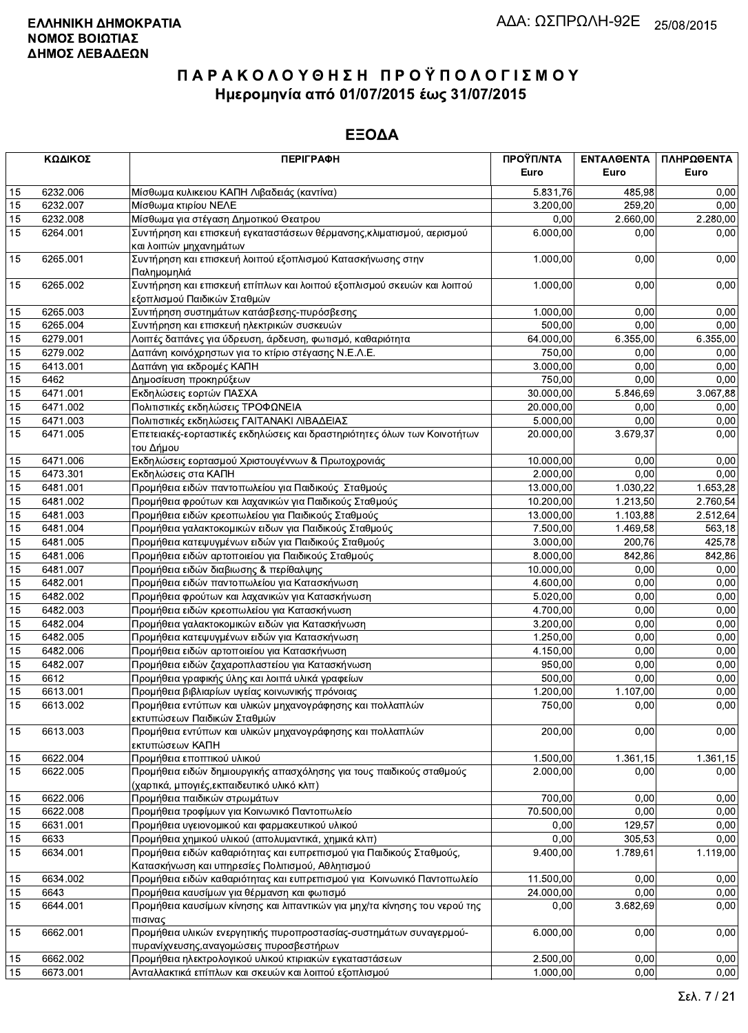|    | ΚΩΔΙΚΟΣ  | <b>ПЕРІГРАФН</b>                                                                                                         | ΠΡΟΫΠ/ΝΤΑ | ΕΝΤΑΛΘΕΝΤΑ | ΠΛΗΡΩΘΕΝΤΑ |
|----|----------|--------------------------------------------------------------------------------------------------------------------------|-----------|------------|------------|
|    |          |                                                                                                                          | Euro      | Euro       | Euro       |
| 15 | 6232.006 | Μίσθωμα κυλικειου ΚΑΠΗ Λιβαδειάς (καντίνα)                                                                               | 5.831,76  | 485.98     | 0,00       |
| 15 | 6232.007 | Μίσθωμα κτιρίου ΝΕΛΕ                                                                                                     | 3.200,00  | 259,20     | 0,00       |
| 15 | 6232.008 | Μίσθωμα για στέγαση Δημοτικού Θεατρου                                                                                    | 0,00      | 2.660,00   | 2.280,00   |
| 15 | 6264.001 | Συντήρηση και επισκευή εγκαταστάσεων θέρμανσης, κλιματισμού, αερισμού<br>και λοιπών μηχανημάτων                          | 6.000.00  | 0,00       | 0,00       |
| 15 | 6265.001 | Συντήρηση και επισκευή λοιπού εξοπλισμού Κατασκήνωσης στην<br>Παλημομηλιά                                                | 1.000,00  | 0,00       | 0,00       |
| 15 | 6265.002 | Συντήρηση και επισκευή επίπλων και λοιπού εξοπλισμού σκευών και λοιπού<br>εξοπλισμού Παιδικών Σταθμών                    | 1.000,00  | 0,00       | 0,00       |
| 15 | 6265.003 | Συντήρηση συστημάτων κατάσβεσης-πυρόσβεσης                                                                               | 1.000,00  | 0,00       | 0,00       |
| 15 | 6265.004 | Συντήρηση και επισκευή ηλεκτρικών συσκευών                                                                               | 500,00    | 0,00       | 0,00       |
| 15 | 6279.001 | Λοιπές δαπάνες για ύδρευση, άρδευση, φωτισμό, καθαριότητα                                                                | 64.000,00 | 6.355,00   | 6.355,00   |
| 15 | 6279.002 | Δαπάνη κοινόχρηστων για το κτίριο στέγασης Ν.Ε.Λ.Ε.                                                                      | 750,00    | 0,00       | 0,00       |
| 15 | 6413.001 | Δαπάνη για εκδρομές ΚΑΠΗ                                                                                                 | 3.000,00  | 0,00       | 0,00       |
| 15 | 6462     | Δημοσίευση προκηρύξεων                                                                                                   | 750,00    | 0,00       | 0,00       |
| 15 | 6471.001 | Εκδηλώσεις εορτών ΠΑΣΧΑ                                                                                                  | 30.000,00 | 5.846,69   | 3.067,88   |
| 15 | 6471.002 | Πολιτιστικές εκδηλώσεις ΤΡΟΦΩΝΕΙΑ                                                                                        | 20.000,00 | 0,00       | 0,00       |
| 15 | 6471.003 | Πολιτιστικές εκδηλώσεις ΓΑΙΤΑΝΑΚΙ ΛΙΒΑΔΕΙΑΣ                                                                              | 5.000,00  | 0,00       | 0,00       |
| 15 | 6471.005 | Επετειακές-εορταστικές εκδηλώσεις και δραστηριότητες όλων των Κοινοτήτων<br>του Δήμου                                    | 20.000,00 | 3.679,37   | 0,00       |
| 15 | 6471.006 | Εκδηλώσεις εορτασμού Χριστουγέννων & Πρωτοχρονιάς                                                                        | 10.000,00 | 0,00       | 0,00       |
| 15 | 6473.301 | Εκδηλώσεις στα ΚΑΠΗ                                                                                                      | 2.000,00  | 0,00       | 0,00       |
| 15 | 6481.001 | Προμήθεια ειδών παντοπωλείου για Παιδικούς Σταθμούς                                                                      | 13.000,00 | 1.030,22   | 1.653,28   |
| 15 | 6481.002 | Προμήθεια φρούτων και λαχανικών για Παιδικούς Σταθμούς                                                                   | 10.200,00 | 1.213,50   | 2.760,54   |
| 15 | 6481.003 | Προμήθεια ειδών κρεοπωλείου για Παιδικούς Σταθμούς                                                                       | 13.000,00 | 1.103,88   | 2.512,64   |
| 15 | 6481.004 | Προμήθεια γαλακτοκομικών ειδων για Παιδικούς Σταθμούς                                                                    | 7.500,00  | 1.469,58   | 563,18     |
| 15 | 6481.005 | Προμήθεια κατεψυγμένων ειδών για Παιδικούς Σταθμούς                                                                      | 3.000,00  | 200,76     | 425,78     |
| 15 | 6481.006 | Προμήθεια ειδών αρτοποιείου για Παιδικούς Σταθμούς                                                                       | 8.000,00  | 842,86     | 842,86     |
| 15 | 6481.007 | Προμήθεια ειδών διαβιωσης & περίθαλψης                                                                                   | 10.000,00 | 0,00       | 0,00       |
| 15 | 6482.001 | Προμήθεια ειδών παντοπωλείου για Κατασκήνωση                                                                             | 4.600,00  | 0,00       | 0,00       |
| 15 | 6482.002 | Προμήθεια φρούτων και λαχανικών για Κατασκήνωση                                                                          | 5.020,00  | 0,00       | 0,00       |
| 15 | 6482.003 | Προμήθεια ειδών κρεοπωλείου για Κατασκήνωση                                                                              | 4.700,00  | 0,00       | 0,00       |
| 15 | 6482.004 | Προμήθεια γαλακτοκομικών ειδών για Κατασκήνωση                                                                           | 3.200,00  | 0,00       | 0,00       |
| 15 | 6482.005 | Προμήθεια κατεψυγμένων ειδών για Κατασκήνωση                                                                             | 1.250,00  | 0,00       | 0,00       |
| 15 | 6482.006 | Προμήθεια ειδών αρτοποιείου για Κατασκήνωση                                                                              | 4.150,00  | 0,00       | 0,00       |
| 15 | 6482.007 | Προμήθεια ειδών ζαχαροπλαστείου για Κατασκήνωση                                                                          | 950,00    | 0,00       | 0,00       |
| 15 | 6612     | Προμήθεια γραφικής ύλης και λοιπά υλικά γραφείων                                                                         | 500,00    | 0,00       | 0,00       |
| 15 | 6613.001 | Προμήθεια βιβλιαρίων υγείας κοινωνικής πρόνοιας                                                                          | 1.200,00  | 1.107,00   | 0,00       |
| 15 | 6613.002 | Προμήθεια εντύπων και υλικών μηχανογράφησης και πολλαπλών<br>εκτυπώσεων Παιδικών Σταθμών                                 | 750,00    | 0,00       | 0,00       |
| 15 | 6613.003 | Προμήθεια εντύπων και υλικών μηχανογράφησης και πολλαπλών<br>εκτυπώσεων ΚΑΠΗ                                             | 200,00    | 0,00       | 0,00       |
| 15 | 6622.004 | Προμήθεια εποπτικού υλικού                                                                                               | 1.500,00  | 1.361,15   | 1.361,15   |
| 15 | 6622.005 | Προμήθεια ειδών δημιουργικής απασχόλησης για τους παιδικούς σταθμούς<br>(χαρτικά, μπογιές, εκπαιδευτικό υλικό κλπ)       | 2.000,00  | 0,00       | 0,00       |
| 15 | 6622.006 | Προμήθεια παιδικών στρωμάτων                                                                                             | 700,00    | 0,00       | 0,00       |
| 15 | 6622.008 | Προμήθεια τροφίμων για Κοινωνικό Παντοπωλείο                                                                             | 70.500,00 | 0,00       | 0,00       |
| 15 | 6631.001 | Προμήθεια υγειονομικού και φαρμακευτικού υλικού                                                                          | 0,00      | 129,57     | 0,00       |
| 15 | 6633     | Προμήθεια χημικού υλικού (απολυμαντικά, χημικά κλπ)                                                                      | 0,00      | 305,53     | 0,00       |
| 15 | 6634.001 | Προμήθεια ειδών καθαριότητας και ευπρεπισμού για Παιδικούς Σταθμούς,<br>Κατασκήνωση και υπηρεσίες Πολιτισμού, Αθλητισμού | 9.400,00  | 1.789,61   | 1.119,00   |
| 15 | 6634.002 | Προμήθεια ειδών καθαριότητας και ευπρεπισμού για Κοινωνικό Παντοπωλείο                                                   | 11.500,00 | 0,00       | 0,00       |
| 15 | 6643     | Προμήθεια καυσίμων για θέρμανση και φωτισμό                                                                              | 24.000,00 | 0,00       | 0,00       |
| 15 | 6644.001 | Προμήθεια καυσίμων κίνησης και λιπαντικών για μηχ/τα κίνησης του νερού της<br>πισινας                                    | 0,00      | 3.682,69   | 0,00       |
| 15 | 6662.001 | Προμήθεια υλικών ενεργητικής πυροπροστασίας-συστημάτων συναγερμού-<br>πυρανίχνευσης, αναγομώσεις πυροσβεστήρων           | 6.000,00  | 0,00       | 0,00       |
| 15 | 6662.002 | Προμήθεια ηλεκτρολογικού υλικού κτιριακών εγκαταστάσεων                                                                  | 2.500,00  | 0,00       | 0,00       |
| 15 | 6673.001 | Ανταλλακτικά επίπλων και σκευών και λοιπού εξοπλισμού                                                                    | 1.000,00  | 0,00       | 0,00       |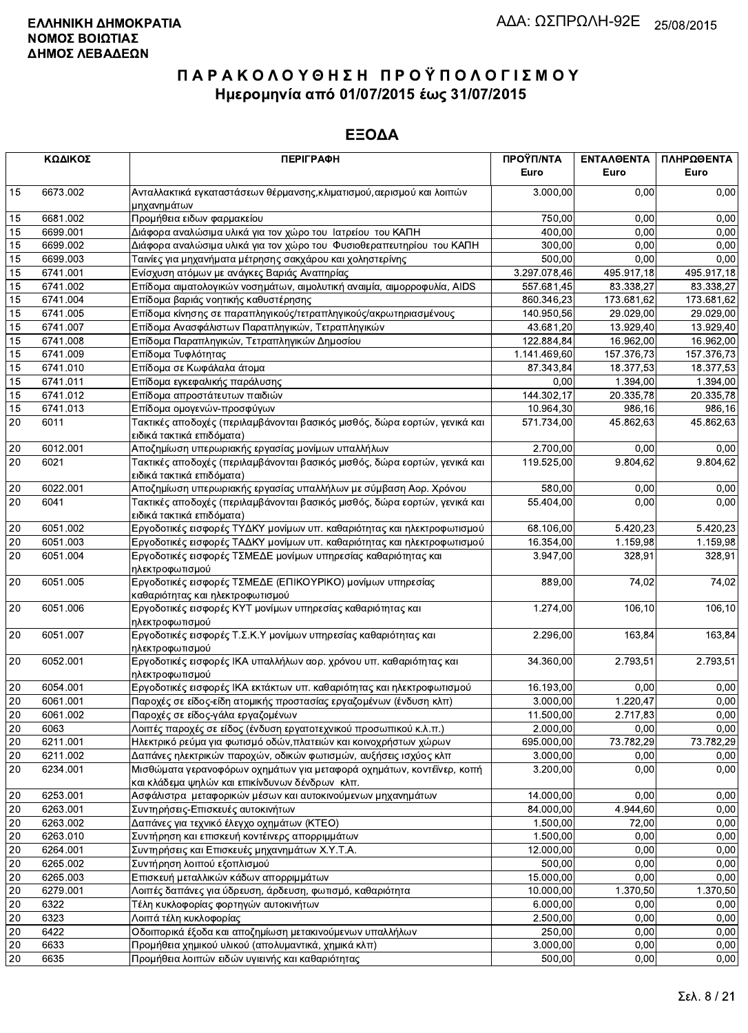|              | ΚΩΔΙΚΟΣ  | <b>ПЕРІГРАФН</b>                                                                                                        | ΠΡΟΫΠ/ΝΤΑ<br>Euro | ΕΝΤΑΛΘΕΝΤΑ<br>Euro | ΠΛΗΡΩΘΕΝΤΑ<br>Euro |
|--------------|----------|-------------------------------------------------------------------------------------------------------------------------|-------------------|--------------------|--------------------|
| 15           | 6673.002 | Ανταλλακτικά εγκαταστάσεων θέρμανσης, κλιματισμού, αερισμού και λοιπών<br>μηχανημάτων                                   | 3.000,00          | 0.00               | 0,00               |
| 15           | 6681.002 | Προμήθεια ειδων φαρμακείου                                                                                              | 750,00            | 0.00               | 0,00               |
| 15           | 6699.001 | Διάφορα αναλώσιμα υλικά για τον χώρο του Ιατρείου του ΚΑΠΗ                                                              | 400,00            | 0,00               | 0,00               |
| 15           | 6699.002 | Διάφορα αναλώσιμα υλικά για τον χώρο του Φυσιοθεραπευτηρίου του ΚΑΠΗ                                                    | 300,00            | 0,00               | 0,00               |
| 15           | 6699.003 | Ταινίες για μηχανήματα μέτρησης σακχάρου και χοληστερίνης                                                               | 500,00            | 0,00               | 0,00               |
| 15           | 6741.001 | Ενίσχυση ατόμων με ανάγκες Βαριάς Αναπηρίας                                                                             | 3.297.078,46      | 495.917,18         | 495.917,18         |
| 15           | 6741.002 | Επίδομα αιματολογικών νοσημάτων, αιμολυτική αναιμία, αιμορροφυλία, AIDS                                                 | 557.681,45        | 83.338,27          | 83.338,27          |
| 15           | 6741.004 | Επίδομα βαριάς νοητικής καθυστέρησης                                                                                    | 860.346,23        | 173.681,62         | 173.681,62         |
| 15           | 6741.005 | Επίδομα κίνησης σε παραπληγικούς/τετραπληγικούς/ακρωτηριασμένους                                                        | 140.950,56        | 29.029,00          | 29.029,00          |
| 15           | 6741.007 | Επίδομα Ανασφάλιστων Παραπληγικών, Τετραπληγικών                                                                        | 43.681,20         | 13.929,40          | 13.929,40          |
| 15           | 6741.008 | Επίδομα Παραπληγικών, Τετραπληγικών Δημοσίου                                                                            | 122.884,84        | 16.962,00          | 16.962,00          |
| 15           | 6741.009 | Επίδομα Τυφλότητας                                                                                                      | 1.141.469,60      | 157.376,73         | 157.376,73         |
| 15           | 6741.010 | Επίδομα σε Κωφάλαλα άτομα                                                                                               | 87.343,84         | 18.377,53          | 18.377,53          |
| 15           | 6741.011 | Επίδομα εγκεφαλικής παράλυσης                                                                                           | 0,00              | 1.394,00           | 1.394,00           |
| 15           | 6741.012 | Επίδομα απροστάτευτων παιδιών                                                                                           | 144.302,17        | 20.335,78          | 20.335,78          |
| 15           | 6741.013 | Επίδομα ομογενών-προσφύγων                                                                                              | 10.964,30         | 986.16             | 986,16             |
| 20           | 6011     | Τακτικές αποδοχές (περιλαμβάνονται βασικός μισθός, δώρα εορτών, γενικά και<br>ειδικά τακτικά επιδόματα)                 | 571.734,00        | 45.862,63          | 45.862,63          |
| 20           | 6012.001 | Αποζημίωση υπερωριακής εργασίας μονίμων υπαλλήλων                                                                       | 2.700,00          | 0,00               | 0,00               |
| 20           | 6021     | Τακτικές αποδοχές (περιλαμβάνονται βασικός μισθός, δώρα εορτών, γενικά και<br>ειδικά τακτικά επιδόματα)                 | 119.525,00        | 9.804,62           | 9.804,62           |
| 20           | 6022.001 | Αποζημίωση υπερωριακής εργασίας υπαλλήλων με σύμβαση Αορ. Χρόνου                                                        | 580,00            | 0,00               | 0,00               |
| 20           | 6041     | Τακτικές αποδοχές (περιλαμβάνονται βασικός μισθός, δώρα εορτών, γενικά και<br>ειδικά τακτικά επιδόματα)                 | 55.404,00         | 0,00               | 0,00               |
| 20           | 6051.002 | Εργοδοτικές εισφορές ΤΥΔΚΥ μονίμων υπ. καθαριότητας και ηλεκτροφωτισμού                                                 | 68.106,00         | 5.420,23           | 5.420,23           |
| 20           | 6051.003 | Εργοδοτικές εισφορές ΤΑΔΚΥ μονίμων υπ. καθαριότητας και ηλεκτροφωτισμού                                                 | 16.354,00         | 1.159,98           | 1.159,98           |
| 20           | 6051.004 | Εργοδοτικές εισφορές ΤΣΜΕΔΕ μονίμων υπηρεσίας καθαριότητας και<br>ηλεκτροφωτισμού                                       | 3.947,00          | 328,91             | 328,91             |
| 20           | 6051.005 | Εργοδοτικές εισφορές ΤΣΜΕΔΕ (ΕΠΙΚΟΥΡΙΚΟ) μονίμων υπηρεσίας<br>καθαριότητας και ηλεκτροφωτισμού                          | 889,00            | 74,02              | 74,02              |
| 20           | 6051.006 | Εργοδοτικές εισφορές ΚΥΤ μονίμων υπηρεσίας καθαριότητας και<br>ηλεκτροφωτισμού                                          | 1.274,00          | 106,10             | 106,10             |
| 20           | 6051.007 | Εργοδοτικές εισφορές Τ.Σ.Κ.Υ μονίμων υπηρεσίας καθαριότητας και<br>ηλεκτροφωτισμού                                      | 2.296,00          | 163,84             | 163,84             |
| 20           | 6052.001 | Εργοδοτικές εισφορές ΙΚΑ υπαλλήλων αορ. χρόνου υπ. καθαριότητας και<br>ηλεκτροφωτισμού                                  | 34.360,00         | 2.793,51           | 2.793,51           |
| 20           | 6054.001 | Εργοδοτικές εισφορές ΙΚΑ εκτάκτων υπ. καθαριότητας και ηλεκτροφωτισμού                                                  | 16.193,00         | 0.00               | 0,00               |
| 20           | 6061.001 | Παροχές σε είδος-είδη ατομικής προστασίας εργαζομένων (ένδυση κλπ)                                                      | 3.000,00          | 1.220,47           | 0,00               |
| $\boxed{20}$ | 6061.002 | Παροχές σε είδος-γάλα εργαζομένων                                                                                       | 11.500,00         | 2.717,83           | 0,00               |
| 20           | 6063     | Λοιπές παροχές σε είδος (ένδυση εργατοτεχνικού προσωπικού κ.λ.π.)                                                       | 2.000,00          | 0,00               | 0,00               |
| 20           | 6211.001 | Ηλεκτρικό ρεύμα για φωτισμό οδών, πλατειών και κοινοχρήστων χώρων                                                       | 695.000,00        | 73.782,29          | 73.782,29          |
| 20           | 6211.002 | Δαπάνες ηλεκτρικών παροχών, οδικών φωτισμών, αυξήσεις ισχύος κλπ                                                        | 3.000,00          | 0,00               | 0,00               |
| 20           | 6234.001 | Μισθώματα γερανοφόρων οχημάτων για μεταφορά οχημάτων, κοντέϊνερ, κοπή<br>και κλάδεμα ψηλών και επικίνδυνων δένδρων κλπ. | 3.200,00          | 0,00               | 0,00               |
| 20           | 6253.001 | Ασφάλιστρα μεταφορικών μέσων και αυτοκινούμενων μηχανημάτων                                                             | 14.000,00         | 0,00               | 0,00               |
| 20           | 6263.001 | Συντηρήσεις-Επισκευές αυτοκινήτων                                                                                       | 84.000,00         | 4.944,60           | 0,00               |
| 20           | 6263.002 | Δαπάνες για τεχνικό έλεγχο οχημάτων (ΚΤΕΟ)                                                                              | 1.500,00          | 72,00              | 0,00               |
| 20           | 6263.010 | Συντήρηση και επισκευή κοντέινερς απορριμμάτων                                                                          | 1.500,00          | 0,00               | 0,00               |
| 20           | 6264.001 | Συντηρήσεις και Επισκευές μηχανημάτων Χ.Υ.Τ.Α.                                                                          | 12.000,00         | 0,00               | 0,00               |
| 20           | 6265.002 | Συντήρηση λοιπού εξοπλισμού                                                                                             | 500,00            | 0,00               | 0,00               |
| 20           | 6265.003 | Επισκευή μεταλλικών κάδων απορριμμάτων                                                                                  | 15.000,00         | 0,00               | 0,00               |
| 20           | 6279.001 | Λοιπές δαπάνες για ύδρευση, άρδευση, φωτισμό, καθαριότητα                                                               | 10.000,00         | 1.370,50           | 1.370,50           |
| 20           | 6322     | Τέλη κυκλοφορίας φορτηγών αυτοκινήτων                                                                                   | 6.000,00          | 0,00               | 0,00               |
| 20           | 6323     | Λοιπά τέλη κυκλοφορίας                                                                                                  | 2.500,00          | 0,00               | 0,00               |
| 20           | 6422     | Οδοιπορικά έξοδα και αποζημίωση μετακινούμενων υπαλλήλων                                                                | 250,00            | 0,00               | 0,00               |
| 20           | 6633     | Προμήθεια χημικού υλικού (απολυμαντικά, χημικά κλπ)                                                                     | 3.000,00          | 0,00               | 0,00               |
| 20           | 6635     | Προμήθεια λοιπών ειδών υγιεινής και καθαριότητας                                                                        | 500,00            | 0,00               | 0,00               |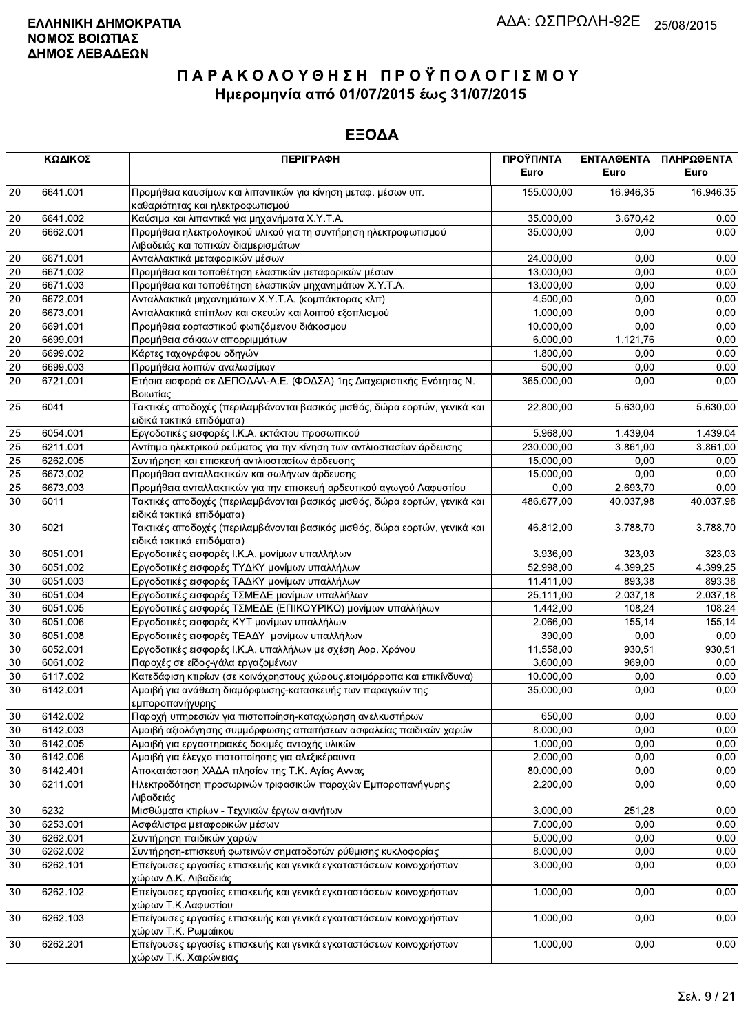|    | ΚΩΔΙΚΟΣ  | <b>ПЕРІГРАФН</b>                                                                                        | ΠΡΟΫΠ/ΝΤΑ<br>Euro | ΕΝΤΑΛΘΕΝΤΑ<br>Euro | ΠΛΗΡΩΘΕΝΤΑ<br>Euro |
|----|----------|---------------------------------------------------------------------------------------------------------|-------------------|--------------------|--------------------|
| 20 | 6641.001 | Προμήθεια καυσίμων και λιπαντικών για κίνηση μεταφ. μέσων υπ.<br>καθαριότητας και ηλεκτροφωτισμού       | 155.000,00        | 16.946,35          | 16.946,35          |
| 20 | 6641.002 | Καύσιμα και λιπαντικά για μηχανήματα Χ.Υ.Τ.Α.                                                           | 35.000,00         | 3.670,42           | 0,00               |
| 20 | 6662.001 | Προμήθεια ηλεκτρολογικού υλικού για τη συντήρηση ηλεκτροφωτισμού<br>Λιβαδειάς και τοπικών διαμερισμάτων | 35.000,00         | 0.00               | 0,00               |
| 20 | 6671.001 | Ανταλλακτικά μεταφορικών μέσων                                                                          | 24.000,00         | 0.00               | 0,00               |
| 20 | 6671.002 | Προμήθεια και τοποθέτηση ελαστικών μεταφορικών μέσων                                                    | 13.000,00         | 0,00               | 0,00               |
| 20 | 6671.003 | Προμήθεια και τοποθέτηση ελαστικών μηχανημάτων Χ.Υ.Τ.Α.                                                 | 13.000,00         | 0,00               | 0,00               |
| 20 | 6672.001 | Ανταλλακτικά μηχανημάτων Χ.Υ.Τ.Α. (κομπάκτορας κλπ)                                                     | 4.500,00          | 0,00               | 0,00               |
| 20 | 6673.001 | Ανταλλακτικά επίπλων και σκευών και λοιπού εξοπλισμού                                                   | 1.000,00          | 0,00               | 0,00               |
| 20 | 6691.001 | Προμήθεια εορταστικού φωτιζόμενου διάκοσμου                                                             | 10.000,00         | 0,00               | 0,00               |
| 20 | 6699.001 | Προμήθεια σάκκων απορριμμάτων                                                                           | 6.000,00          | 1.121,76           | 0,00               |
| 20 | 6699.002 | Κάρτες ταχογράφου οδηγών                                                                                | 1.800,00          | 0,00               | 0,00               |
| 20 | 6699.003 | Προμήθεια λοιπών αναλωσίμων                                                                             | 500,00            | 0,00               | 0,00               |
| 20 | 6721.001 | Ετήσια εισφορά σε ΔΕΠΟΔΑΛ-Α.Ε. (ΦΟΔΣΑ) 1ης Διαχειριστικής Ενότητας Ν.                                   | 365.000,00        | 0,00               | 0,00               |
| 25 | 6041     | Βοιωτίας<br>Τακτικές αποδοχές (περιλαμβάνονται βασικός μισθός, δώρα εορτών, γενικά και                  | 22.800,00         | 5.630,00           | 5.630,00           |
|    |          | ειδικά τακτικά επιδόματα)                                                                               |                   |                    |                    |
| 25 | 6054.001 | Εργοδοτικές εισφορές Ι.Κ.Α. εκτάκτου προσωπικού                                                         | 5.968,00          | 1.439,04           | 1.439,04           |
| 25 | 6211.001 | Αντίτιμο ηλεκτρικού ρεύματος για την κίνηση των αντλιοστασίων άρδευσης                                  | 230.000,00        | 3.861,00           | 3.861,00           |
| 25 | 6262.005 | Συντήρηση και επισκευή αντλιοστασίων άρδευσης                                                           | 15.000,00         | 0,00               | 0,00               |
| 25 | 6673.002 | Προμήθεια ανταλλακτικών και σωλήνων άρδευσης                                                            | 15.000,00         | 0.00               | 0,00               |
| 25 | 6673.003 | Προμήθεια ανταλλακτικών για την επισκευή αρδευτικού αγωγού Λαφυστίου                                    | 0,00              | 2.693,70           | 0,00               |
| 30 | 6011     | Τακτικές αποδοχές (περιλαμβάνονται βασικός μισθός, δώρα εορτών, γενικά και<br>ειδικά τακτικά επιδόματα) | 486.677,00        | 40.037.98          | 40.037,98          |
| 30 | 6021     | Τακτικές αποδοχές (περιλαμβάνονται βασικός μισθός, δώρα εορτών, γενικά και<br>ειδικά τακτικά επιδόματα) | 46.812,00         | 3.788,70           | 3.788,70           |
| 30 | 6051.001 | Εργοδοτικές εισφορές Ι.Κ.Α. μονίμων υπαλλήλων                                                           | 3.936,00          | 323,03             | 323,03             |
| 30 | 6051.002 | Εργοδοτικές εισφορές ΤΥΔΚΥ μονίμων υπαλλήλων                                                            | 52.998,00         | 4.399,25           | 4.399,25           |
| 30 | 6051.003 | Εργοδοτικές εισφορές ΤΑΔΚΥ μονίμων υπαλλήλων                                                            | 11.411,00         | 893,38             | 893,38             |
| 30 | 6051.004 | Εργοδοτικές εισφορές ΤΣΜΕΔΕ μονίμων υπαλλήλων                                                           | 25.111,00         | 2.037,18           | 2.037,18           |
| 30 | 6051.005 | Εργοδοτικές εισφορές ΤΣΜΕΔΕ (ΕΠΙΚΟΥΡΙΚΟ) μονίμων υπαλλήλων                                              | 1.442,00          | 108,24             | 108,24             |
| 30 | 6051.006 | Εργοδοτικές εισφορές ΚΥΤ μονίμων υπαλλήλων                                                              | 2.066,00          | 155,14             | 155,14             |
| 30 | 6051.008 | Εργοδοτικές εισφορές ΤΕΑΔΥ μονίμων υπαλλήλων                                                            | 390,00            | 0,00               | 0,00               |
| 30 | 6052.001 | Εργοδοτικές εισφορές Ι.Κ.Α. υπαλλήλων με σχέση Αορ. Χρόνου                                              | 11.558,00         | 930,51             | 930,51             |
| 30 | 6061.002 | Παροχές σε είδος-γάλα εργαζομένων                                                                       | 3.600,00          | 969,00             | 0,00               |
| 30 | 6117.002 | Κατεδάφιση κτιρίων (σε κοινόχρηστους χώρους, ετοιμόρροπα και επικίνδυνα)                                | 10.000,00         | 0,00               | 0,00               |
| 30 | 6142.001 | Αμοιβή για ανάθεση διαμόρφωσης-κατασκευής των παραγκών της<br>εμποροπανήγυρης                           | 35.000,00         | 0,00               | 0,00               |
| 30 | 6142.002 | Παροχή υπηρεσιών για πιστοποίηση-καταχώρηση ανελκυστήρων                                                | 650,00            | 0,00               | 0,00               |
| 30 | 6142.003 | Αμοιβή αξιολόγησης συμμόρφωσης απαιτήσεων ασφαλείας παιδικών χαρών                                      | 8.000,00          | 0,00               | 0,00               |
| 30 | 6142.005 | Αμοιβή για εργαστηριακές δοκιμές αντοχής υλικών                                                         | 1.000,00          | 0,00               | 0,00               |
| 30 | 6142.006 | Αμοιβή για έλεγχο πιστοποίησης για αλεξικέραυνα                                                         | 2.000,00          | 0,00               | 0,00               |
| 30 | 6142.401 | Αποκατάσταση ΧΑΔΑ πλησίον της Τ.Κ. Αγίας Αννας                                                          | 80.000,00         | 0,00               | 0,00               |
| 30 | 6211.001 | Ηλεκτροδότηση προσωρινών τριφασικών παροχών Εμποροπανήγυρης<br>Λιβαδειάς                                | 2.200,00          | 0,00               | 0,00               |
| 30 | 6232     | Μισθώματα κτιρίων - Τεχνικών έργων ακινήτων                                                             | 3.000,00          | 251,28             | 0,00               |
| 30 | 6253.001 | Ασφάλιστρα μεταφορικών μέσων                                                                            | 7.000,00          | 0,00               | 0.00               |
| 30 | 6262.001 | Συντήρηση παιδικών χαρών                                                                                | 5.000,00          | 0,00               | 0,00               |
| 30 | 6262.002 | Συντήρηση-επισκευή φωτεινών σηματοδοτών ρύθμισης κυκλοφορίας                                            | 8.000,00          | 0,00               | 0,00               |
|    |          |                                                                                                         |                   |                    |                    |
| 30 | 6262.101 | Επείγουσες εργασίες επισκευής και γενικά εγκαταστάσεων κοινοχρήστων<br>χώρων Δ.Κ. Λιβαδειάς             | 3.000,00          | 0,00               | 0,00               |
| 30 | 6262.102 | Επείγουσες εργασίες επισκευής και γενικά εγκαταστάσεων κοινοχρήστων<br>χώρων Τ.Κ.Λαφυστίου              | 1.000,00          | 0,00               | 0,00               |
| 30 | 6262.103 | Επείγουσες εργασίες επισκευής και γενικά εγκαταστάσεων κοινοχρήστων<br>χώρων Τ.Κ. Ρωμαίικου             | 1.000,00          | 0,00               | 0,00               |
| 30 | 6262.201 | Επείγουσες εργασίες επισκευής και γενικά εγκαταστάσεων κοινοχρήστων<br>χώρων Τ.Κ. Χαιρώνειας            | 1.000,00          | 0,00               | 0,00               |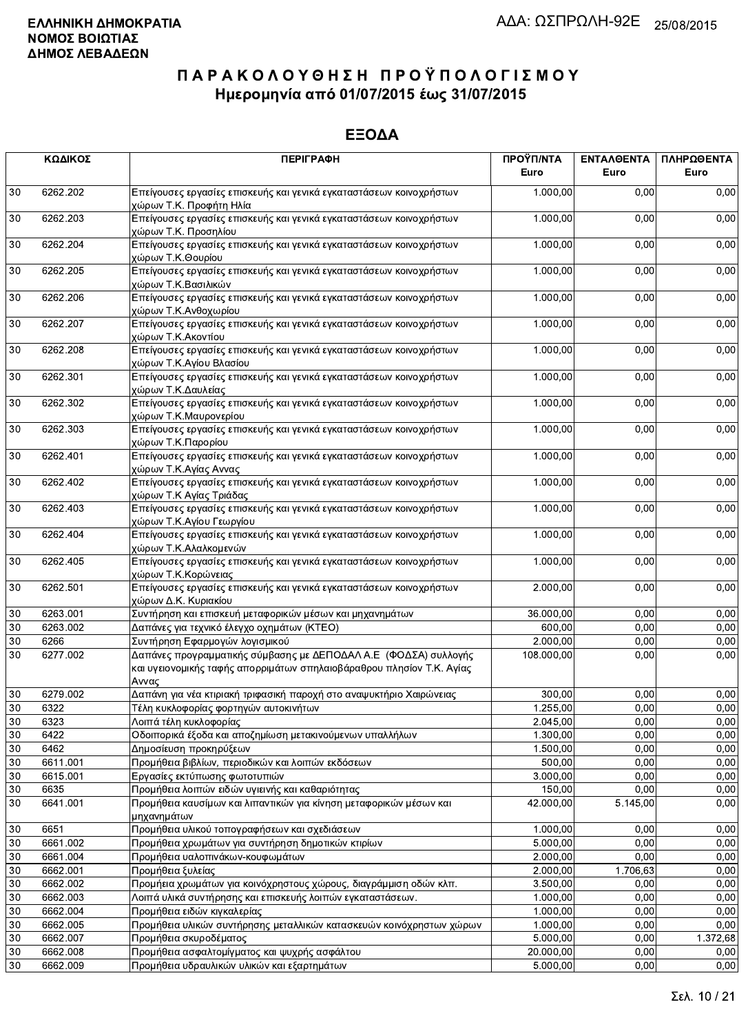|        | ΚΩΔΙΚΟΣ  | <b>ПЕРІГРАФН</b>                                                                                                                                  | ΠΡΟΫΠ/ΝΤΑ<br>Euro | <b>ENTAAGENTA</b><br>Euro | ΠΛΗΡΩΘΕΝΤΑ<br>Euro |
|--------|----------|---------------------------------------------------------------------------------------------------------------------------------------------------|-------------------|---------------------------|--------------------|
| 30     | 6262.202 | Επείγουσες εργασίες επισκευής και γενικά εγκαταστάσεων κοινοχρήστων<br>χώρων Τ.Κ. Προφήτη Ηλία                                                    | 1.000,00          | 0,00                      | 0,00               |
| 30     | 6262.203 | Επείγουσες εργασίες επισκευής και γενικά εγκαταστάσεων κοινοχρήστων<br>χώρων Τ.Κ. Προσηλίου                                                       | 1.000,00          | 0,00                      | 0,00               |
| 30     | 6262.204 | Επείγουσες εργασίες επισκευής και γενικά εγκαταστάσεων κοινοχρήστων<br>χώρων Τ.Κ.Θουρίου                                                          | 1.000,00          | 0,00                      | 0,00               |
| 30     | 6262.205 | Επείγουσες εργασίες επισκευής και γενικά εγκαταστάσεων κοινοχρήστων<br>χώρων Τ.Κ.Βασιλικών                                                        | 1.000,00          | 0,00                      | 0,00               |
| 30     | 6262.206 | Επείγουσες εργασίες επισκευής και γενικά εγκαταστάσεων κοινοχρήστων<br>χώρων Τ.Κ.Ανθοχωρίου                                                       | 1.000,00          | 0,00                      | 0,00               |
| 30     | 6262.207 | Επείγουσες εργασίες επισκευής και γενικά εγκαταστάσεων κοινοχρήστων<br>χώρων Τ.Κ.Ακοντίου                                                         | 1.000,00          | 0,00                      | 0,00               |
| 30     | 6262.208 | Επείγουσες εργασίες επισκευής και γενικά εγκαταστάσεων κοινοχρήστων<br>χώρων Τ.Κ.Αγίου Βλασίου                                                    | 1.000,00          | 0,00                      | 0,00               |
| 30     | 6262.301 | Επείγουσες εργασίες επισκευής και γενικά εγκαταστάσεων κοινοχρήστων<br>χώρων Τ.Κ.Δαυλείας                                                         | 1.000,00          | 0,00                      | 0,00               |
| 30     | 6262.302 | Επείγουσες εργασίες επισκευής και γενικά εγκαταστάσεων κοινοχρήστων<br>χώρων Τ.Κ.Μαυρονερίου                                                      | 1.000,00          | 0,00                      | 0,00               |
| 30     | 6262.303 | Επείγουσες εργασίες επισκευής και γενικά εγκαταστάσεων κοινοχρήστων<br>χώρων Τ.Κ.Παρορίου                                                         | 1.000,00          | 0,00                      | 0,00               |
| 30     | 6262.401 | Επείγουσες εργασίες επισκευής και γενικά εγκαταστάσεων κοινοχρήστων<br>χώρων Τ.Κ.Αγίας Αννας                                                      | 1.000,00          | 0,00                      | 0,00               |
| 30     | 6262.402 | Επείγουσες εργασίες επισκευής και γενικά εγκαταστάσεων κοινοχρήστων<br>χώρων Τ.Κ Αγίας Τριάδας                                                    | 1.000,00          | 0,00                      | 0,00               |
| 30     | 6262.403 | Επείγουσες εργασίες επισκευής και γενικά εγκαταστάσεων κοινοχρήστων<br>χώρων Τ.Κ.Αγίου Γεωργίου                                                   | 1.000,00          | 0,00                      | 0,00               |
| 30     | 6262.404 | Επείγουσες εργασίες επισκευής και γενικά εγκαταστάσεων κοινοχρήστων<br>χώρων Τ.Κ.Αλαλκομενών                                                      | 1.000,00          | 0,00                      | 0,00               |
| 30     | 6262.405 | Επείγουσες εργασίες επισκευής και γενικά εγκαταστάσεων κοινοχρήστων<br>χώρων Τ.Κ.Κορώνειας                                                        | 1.000,00          | 0,00                      | 0,00               |
| 30     | 6262.501 | Επείγουσες εργασίες επισκευής και γενικά εγκαταστάσεων κοινοχρήστων<br>χώρων Δ.Κ. Κυριακίου                                                       | 2.000,00          | 0,00                      | 0,00               |
| 30     | 6263.001 | Συντήρηση και επισκευή μεταφορικών μέσων και μηχανημάτων                                                                                          | 36.000,00         | 0,00                      | 0,00               |
| 30     | 6263.002 | Δαπάνες για τεχνικό έλεγχο οχημάτων (ΚΤΕΟ)                                                                                                        | 600,00            | 0,00                      | 0,00               |
| 30     | 6266     | Συντήρηση Εφαρμογών λογισμικού                                                                                                                    | 2.000,00          | 0,00                      | 0,00               |
| 30     | 6277.002 | Δαπάνες προγραμματικής σύμβασης με ΔΕΠΟΔΑΛ Α.Ε (ΦΟΔΣΑ) συλλογής<br>και υγειονομικής ταφής απορριμάτων σπηλαιοβάραθρου πλησίον Τ.Κ. Αγίας<br>Αννας | 108.000,00        | 0,00                      | 0,00               |
| 30     | 6279.002 | Δαπάνη για νέα κτιριακή τριφασική παροχή στο αναψυκτήριο Χαιρώνειας                                                                               | 300,00            | 0,00                      | 0,00               |
| 30     | 6322     | Τέλη κυκλοφορίας φορτηγών αυτοκινήτων                                                                                                             | 1.255,00          | 0,00                      | 0,00               |
| $30\,$ | 6323     | Λοιπά τέλη κυκλοφορίας                                                                                                                            | 2.045,00          | 0,00                      | 0,00               |
| 30     | 6422     | Οδοιπορικά έξοδα και αποζημίωση μετακινούμενων υπαλλήλων                                                                                          | 1.300,00          | 0,00                      | 0,00               |
| 30     | 6462     | Δημοσίευση προκηρύξεων                                                                                                                            | 1.500,00          | 0,00                      | 0,00               |
| 30     | 6611.001 | Προμήθεια βιβλίων, περιοδικών και λοιπών εκδόσεων                                                                                                 | 500,00            | 0,00                      | 0,00               |
| 30     | 6615.001 | Εργασίες εκτύπωσης φωτοτυπιών                                                                                                                     | 3.000,00          | 0,00                      | 0,00               |
| 30     | 6635     | Προμήθεια λοιπών ειδών υγιεινής και καθαριότητας                                                                                                  | 150,00            | 0,00                      | 0,00               |
| 30     | 6641.001 | Προμήθεια καυσίμων και λιπαντικών για κίνηση μεταφορικών μέσων και<br>μηχανημάτων                                                                 | 42.000,00         | 5.145,00                  | 0,00               |
| 30     | 6651     | Προμήθεια υλικού τοπογραφήσεων και σχεδιάσεων                                                                                                     | 1.000,00          | 0,00                      | 0,00               |
| 30     | 6661.002 | Προμήθεια χρωμάτων για συντήρηση δημοτικών κτιρίων                                                                                                | 5.000,00          | 0,00                      | 0,00               |
| 30     | 6661.004 | Προμήθεια υαλοπινάκων-κουφωμάτων                                                                                                                  | 2.000,00          | 0,00                      | 0,00               |
| 30     | 6662.001 | Προμήθεια ξυλείας                                                                                                                                 | 2.000,00          | 1.706,63                  | 0,00               |
| 30     | 6662.002 | Προμήεια χρωμάτων για κοινόχρηστους χώρους, διαγράμμιση οδών κλπ.                                                                                 | 3.500,00          | 0,00                      | 0,00               |
| 30     | 6662.003 | Λοιπά υλικά συντήρησης και επισκευής λοιπών εγκαταστάσεων.                                                                                        | 1.000,00          | 0,00                      | 0,00               |
| 30     | 6662.004 | Προμήθεια ειδών κιγκαλερίας                                                                                                                       | 1.000,00          | 0,00                      | 0,00               |
| 30     | 6662.005 | Προμήθεια υλικών συντήρησης μεταλλικών κατασκευών κοινόχρηστων χώρων                                                                              | 1.000,00          | 0,00                      | 0,00               |
| 30     | 6662.007 | Προμήθεια σκυροδέματος                                                                                                                            | 5.000,00          | 0,00                      | 1.372,68           |
| 30     | 6662.008 | Προμήθεια ασφαλτομίγματος και ψυχρής ασφάλτου                                                                                                     | 20.000,00         | 0,00                      | 0,00               |
| 30     | 6662.009 | Προμήθεια υδραυλικών υλικών και εξαρτημάτων                                                                                                       | 5.000,00          | 0,00                      | 0,00               |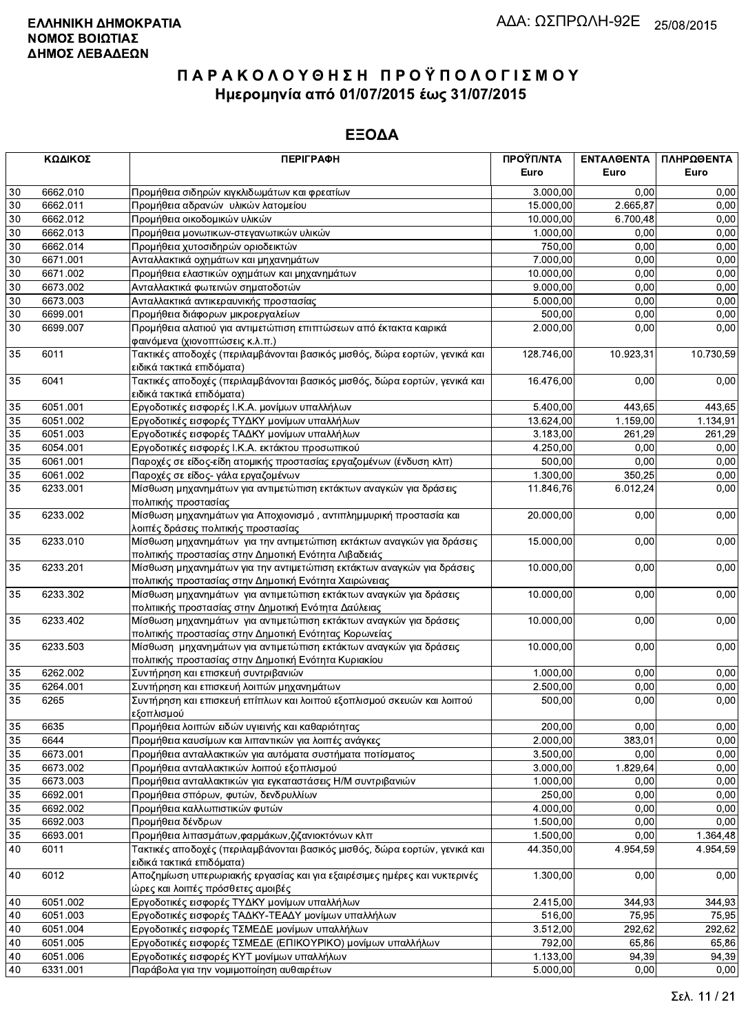|    | ΚΩΔΙΚΟΣ  | <b>ПЕРІГРАФН</b>                                                           | ΠΡΟΫΠ/ΝΤΑ<br>Euro | ΕΝΤΑΛΘΕΝΤΑ<br>Euro | ΠΛΗΡΩΘΕΝΤΑ<br>Euro |
|----|----------|----------------------------------------------------------------------------|-------------------|--------------------|--------------------|
| 30 | 6662.010 | Προμήθεια σιδηρών κιγκλιδωμάτων και φρεατίων                               | 3.000,00          | 0.00               | 0,00               |
| 30 | 6662.011 | Προμήθεια αδρανών υλικών λατομείου                                         | 15.000,00         | 2.665,87           | 0,00               |
| 30 | 6662.012 | Προμήθεια οικοδομικών υλικών                                               | 10.000,00         | 6.700,48           | 0,00               |
| 30 | 6662.013 | Προμήθεια μονωτικων-στεγανωτικών υλικών                                    | 1.000,00          | 0,00               | 0,00               |
| 30 | 6662.014 | Προμήθεια χυτοσιδηρών οριοδεικτών                                          | 750,00            | 0,00               | 0,00               |
| 30 | 6671.001 | Ανταλλακτικά οχημάτων και μηχανημάτων                                      | 7.000,00          | 0,00               | 0,00               |
| 30 | 6671.002 | Προμήθεια ελαστικών οχημάτων και μηχανημάτων                               | 10.000,00         | 0,00               | 0,00               |
| 30 | 6673.002 | Ανταλλακτικά φωτεινών σηματοδοτών                                          | 9.000,00          | 0.00               | 0,00               |
| 30 | 6673.003 | Ανταλλακτικά αντικεραυνικής προστασίας                                     | 5.000,00          | 0,00               | 0,00               |
| 30 | 6699.001 | Προμήθεια διάφορων μικροεργαλείων                                          | 500,00            | 0,00               | 0,00               |
| 30 | 6699.007 | Προμήθεια αλατιού για αντιμετώπιση επιπτώσεων από έκτακτα καιρικά          | 2.000,00          | 0,00               |                    |
|    |          | φαινόμενα (χιονοπτώσεις κ.λ.π.)                                            |                   |                    | 0,00               |
| 35 | 6011     | Τακτικές αποδοχές (περιλαμβάνονται βασικός μισθός, δώρα εορτών, γενικά και | 128.746,00        | 10.923,31          | 10.730,59          |
|    |          | ειδικά τακτικά επιδόματα)                                                  |                   |                    |                    |
| 35 | 6041     | Τακτικές αποδοχές (περιλαμβάνονται βασικός μισθός, δώρα εορτών, γενικά και | 16.476,00         | 0,00               | 0,00               |
|    |          | ειδικά τακτικά επιδόματα)                                                  |                   |                    |                    |
| 35 | 6051.001 | Εργοδοτικές εισφορές Ι.Κ.Α. μονίμων υπαλλήλων                              | 5.400,00          | 443,65             | 443,65             |
| 35 | 6051.002 | Εργοδοτικές εισφορές ΤΥΔΚΥ μονίμων υπαλλήλων                               | 13.624,00         | 1.159,00           | 1.134,91           |
| 35 | 6051.003 | Εργοδοτικές εισφορές ΤΑΔΚΥ μονίμων υπαλλήλων                               | 3.183,00          | 261,29             | 261,29             |
| 35 | 6054.001 | Εργοδοτικές εισφορές Ι.Κ.Α. εκτάκτου προσωπικού                            | 4.250,00          | 0.00               | 0,00               |
| 35 | 6061.001 | Παροχές σε είδος-είδη ατομικής προστασίας εργαζομένων (ένδυση κλπ)         | 500,00            | 0,00               | 0,00               |
| 35 | 6061.002 | Παροχές σε είδος- γάλα εργαζομένων                                         | 1.300,00          | 350,25             | 0,00               |
| 35 | 6233.001 | Μίσθωση μηχανημάτων για αντιμετώπιση εκτάκτων αναγκών για δράσεις          | 11.846,76         | 6.012,24           | 0,00               |
|    |          | πολιτικής προστασίας                                                       |                   |                    |                    |
| 35 | 6233.002 | Μίσθωση μηχανημάτων για Αποχιονισμό, αντιπλημμυρική προστασία και          | 20.000,00         | 0,00               | 0,00               |
|    |          | λοιπές δράσεις πολιτικής προστασίας                                        |                   |                    |                    |
| 35 | 6233.010 | Μίσθωση μηχανημάτων για την αντιμετώπιση εκτάκτων αναγκών για δράσεις      | 15.000,00         | 0,00               | 0,00               |
|    |          | πολιτικής προστασίας στην Δημοτική Ενότητα Λιβαδειάς                       |                   |                    |                    |
| 35 | 6233.201 | Μίσθωση μηχανημάτων για την αντιμετώπιση εκτάκτων αναγκών για δράσεις      | 10.000,00         | 0,00               | 0,00               |
|    |          | πολιτικής προστασίας στην Δημοτική Ενότητα Χαιρώνειας                      |                   |                    |                    |
| 35 | 6233.302 | Μίσθωση μηχανημάτων για αντιμετώπιση εκτάκτων αναγκών για δράσεις          | 10.000,00         | 0,00               | 0,00               |
|    |          | πολιτιικής προστασίας στην Δημοτική Ενότητα Δαύλειας                       |                   |                    |                    |
| 35 | 6233.402 | Μίσθωση μηχανημάτων για αντιμετώπιση εκτάκτων αναγκών για δράσεις          | 10.000,00         | 0,00               | 0,00               |
|    |          | πολιτικής προστασίας στην Δημοτική Ενότητας Κορωνείας                      |                   |                    |                    |
| 35 | 6233.503 | Μίσθωση μηχανημάτων για αντιμετώπιση εκτάκτων αναγκών για δράσεις          | 10.000,00         | 0,00               | 0,00               |
|    |          | πολιτικής προστασίας στην Δημοτική Ενότητα Κυριακίου                       |                   |                    |                    |
| 35 | 6262.002 | Συντήρηση και επισκευή συντριβανιών                                        | 1.000,00          | 0,00               | 0,00               |
| 35 | 6264.001 | Συντήρηση και επισκευή λοιπών μηχανημάτων                                  | 2.500,00          | 0,00               | 0,00               |
| 35 | 6265     | Συντήρηση και επισκευή επίπλων και λοιπού εξοπλισμού σκευών και λοιπού     | 500,00            | 0,00               | 0,00               |
|    |          | εξοπλισμού                                                                 |                   |                    |                    |
| 35 | 6635     | Προμήθεια λοιπών ειδών υγιεινής και καθαριότητας                           | 200,00            | 0.00               | 0,00               |
| 35 | 6644     | Προμήθεια καυσίμων και λιπαντικών για λοιπές ανάγκες                       | 2.000,00          | 383,01             | 0,00               |
| 35 | 6673.001 | Προμήθεια ανταλλακτικών για αυτόματα συστήματα ποτίσματος                  | 3.500,00          | 0,00               | 0,00               |
| 35 | 6673.002 | Προμήθεια ανταλλακτικών λοιπού εξοπλισμού                                  | 3.000,00          | 1.829,64           | 0,00               |
| 35 | 6673.003 | Προμήθεια ανταλλακτικών για εγκαταστάσεις Η/Μ συντριβανιών                 | 1.000,00          | 0,00               | 0,00               |
| 35 | 6692.001 | Προμήθεια σπόρων, φυτών, δενδρυλλίων                                       | 250,00            | 0,00               | 0,00               |
| 35 | 6692.002 | Προμήθεια καλλωπιστικών φυτών                                              | 4.000,00          | 0,00               | 0,00               |
| 35 | 6692.003 | Προμήθεια δένδρων                                                          | 1.500,00          | 0,00               | 0,00               |
| 35 | 6693.001 | Προμήθεια λιπασμάτων, φαρμάκων, ζιζανιοκτόνων κλπ                          | 1.500,00          | 0,00               | 1.364,48           |
| 40 | 6011     | Τακτικές αποδοχές (περιλαμβάνονται βασικός μισθός, δώρα εορτών, γενικά και | 44.350,00         | 4.954,59           | 4.954,59           |
|    |          | ειδικά τακτικά επιδόματα)                                                  |                   |                    |                    |
| 40 | 6012     | Αποζημίωση υπερωριακής εργασίας και για εξαιρέσιμες ημέρες και νυκτερινές  | 1.300,00          | 0,00               | 0,00               |
|    |          | ώρες και λοιπές πρόσθετες αμοιβές                                          |                   |                    |                    |
| 40 | 6051.002 | Εργοδοτικές εισφορές ΤΥΔΚΥ μονίμων υπαλλήλων                               | 2.415,00          | 344,93             | 344,93             |
| 40 | 6051.003 | Εργοδοτικές εισφορές ΤΑΔΚΥ-ΤΕΑΔΥ μονίμων υπαλλήλων                         | 516,00            | 75,95              | 75,95              |
| 40 | 6051.004 | Εργοδοτικές εισφορές ΤΣΜΕΔΕ μονίμων υπαλλήλων                              | 3.512,00          | 292,62             | 292,62             |
| 40 | 6051.005 | Εργοδοτικές εισφορές ΤΣΜΕΔΕ (ΕΠΙΚΟΥΡΙΚΟ) μονίμων υπαλλήλων                 | 792,00            | 65,86              | 65,86              |
| 40 | 6051.006 | Εργοδοτικές εισφορές ΚΥΤ μονίμων υπαλλήλων                                 | 1.133,00          | 94,39              | 94,39              |
| 40 | 6331.001 | Παράβολα για την νομιμοποίηση αυθαιρέτων                                   | 5.000,00          | 0,00               | 0,00               |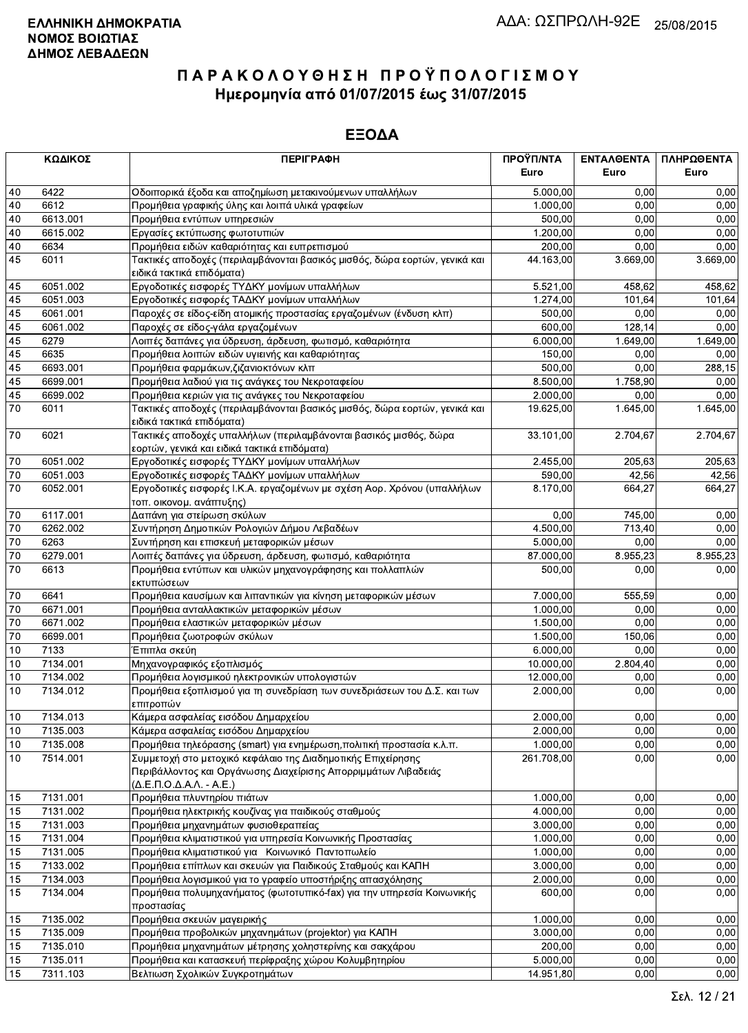| ΚΩΔΙΚΟΣ |              | <b>ПЕРІГРАФН</b>                                                                     | ΠΡΟΫΠ/ΝΤΑ<br>Euro | ΕΝΤΑΛΘΕΝΤΑ<br>Euro    | ΠΛΗΡΩΘΕΝΤΑ<br>Euro |
|---------|--------------|--------------------------------------------------------------------------------------|-------------------|-----------------------|--------------------|
|         |              |                                                                                      |                   |                       |                    |
| 40      | 6422         | Οδοιπορικά έξοδα και αποζημίωση μετακινούμενων υπαλλήλων                             | 5.000,00          | 0.00                  | 0,00               |
| 40      | 6612         | Προμήθεια γραφικής ύλης και λοιπά υλικά γραφείων                                     | 1.000,00          | 0,00                  | 0,00               |
| 40      | 6613.001     | Προμήθεια εντύπων υπηρεσιών                                                          | 500.00            | 0,00                  | 0,00               |
| 40      | 6615.002     | Εργασίες εκτύπωσης φωτοτυπιών                                                        | 1.200.00          | 0,00                  | 0,00               |
| 40      | 6634<br>6011 | Προμήθεια ειδών καθαριότητας και ευπρεπισμού                                         | 200,00            | 0,00                  | 0,00               |
| 45      |              | Τακτικές αποδοχές (περιλαμβάνονται βασικός μισθός, δώρα εορτών, γενικά και           | 44.163,00         | 3.669,00              | 3.669,00           |
| 45      | 6051.002     | ειδικά τακτικά επιδόματα)<br>Εργοδοτικές εισφορές ΤΥΔΚΥ μονίμων υπαλλήλων            | 5.521,00          | 458,62                | 458,62             |
| 45      | 6051.003     | Εργοδοτικές εισφορές ΤΑΔΚΥ μονίμων υπαλλήλων                                         | 1.274,00          | 101,64                | 101,64             |
| 45      | 6061.001     | Παροχές σε είδος-είδη ατομικής προστασίας εργαζομένων (ένδυση κλπ)                   | 500,00            | 0,00                  | 0,00               |
| 45      | 6061.002     | Παροχές σε είδος-γάλα εργαζομένων                                                    | 600,00            | 128,14                | 0,00               |
| 45      | 6279         | Λοιπές δαπάνες για ύδρευση, άρδευση, φωτισμό, καθαριότητα                            | 6.000,00          | 1.649,00              | 1.649,00           |
| 45      | 6635         | Προμήθεια λοιπών ειδών υγιεινής και καθαριότητας                                     | 150,00            | 0,00                  | 0,00               |
| 45      | 6693.001     | Προμήθεια φαρμάκων, ζιζανιοκτόνων κλπ                                                | 500,00            | 0,00                  | 288,15             |
| 45      | 6699.001     | Προμήθεια λαδιού για τις ανάγκες του Νεκροταφείου                                    | 8.500,00          | 1.758,90              | 0,00               |
| 45      | 6699.002     | Προμήθεια κεριών για τις ανάγκες του Νεκροταφείου                                    | 2.000,00          | 0,00                  | 0.00               |
| 70      | 6011         | Τακτικές αποδοχές (περιλαμβάνονται βασικός μισθός, δώρα εορτών, γενικά και           | 19.625,00         | 1.645,00              | 1.645,00           |
|         |              | ειδικά τακτικά επιδόματα)                                                            |                   |                       |                    |
| 70      | 6021         | Τακτικές αποδοχές υπαλλήλων (περιλαμβάνονται βασικός μισθός, δώρα                    | 33.101,00         | 2.704,67              | 2.704,67           |
|         |              | εορτών, γενικά και ειδικά τακτικά επιδόματα)                                         |                   |                       |                    |
| 70      | 6051.002     | Εργοδοτικές εισφορές ΤΥΔΚΥ μονίμων υπαλλήλων                                         | 2.455,00          | 205,63                | 205,63             |
| 70      | 6051.003     | Εργοδοτικές εισφορές ΤΑΔΚΥ μονίμων υπαλλήλων                                         | 590,00            | 42,56                 | 42,56              |
| 70      | 6052.001     | Εργοδοτικές εισφορές Ι.Κ.Α. εργαζομένων με σχέση Αορ. Χρόνου (υπαλλήλων              | 8.170,00          | 664,27                | 664,27             |
|         |              | τοπ. οικονομ. ανάπτυξης)                                                             |                   |                       |                    |
| 70      | 6117.001     | Δαπάνη για στείρωση σκύλων                                                           | 0,00              | 745,00                | 0,00               |
| 70      | 6262.002     | Συντήρηση Δημοτικών Ρολογιών Δήμου Λεβαδέων                                          | 4.500,00          | 713,40                | 0,00               |
| 70      | 6263         | Συντήρηση και επισκευή μεταφορικών μέσων                                             | 5.000,00          | 0,00                  | 0,00               |
| 70      | 6279.001     | Λοιπές δαπάνες για ύδρευση, άρδευση, φωτισμό, καθαριότητα                            | 87.000,00         | $\overline{8.955,23}$ | 8.955,23           |
| 70      | 6613         | Προμήθεια εντύπων και υλικών μηχανογράφησης και πολλαπλών<br>εκτυπώσεων              | 500,00            | 0.00                  | 0,00               |
| 70      | 6641         | Προμήθεια καυσίμων και λιπαντικών για κίνηση μεταφορικών μέσων                       | 7.000,00          | 555,59                | 0,00               |
| 70      | 6671.001     | Προμήθεια ανταλλακτικών μεταφορικών μέσων                                            | 1.000,00          | 0,00                  | 0,00               |
| 70      | 6671.002     | Προμήθεια ελαστικών μεταφορικών μέσων                                                | 1.500,00          | 0,00                  | 0,00               |
| 70      | 6699.001     | Προμήθεια ζωοτροφών σκύλων                                                           | 1.500,00          | 150,06                | 0,00               |
| 10      | 7133         | Έπιπλα σκεύη                                                                         | 6.000,00          | 0,00                  | 0,00               |
| 10      | 7134.001     | Μηχανογραφικός εξοπλισμός                                                            | 10.000,00         | 2.804,40              | 0,00               |
| 10      | 7134.002     | Προμήθεια λογισμικού ηλεκτρονικών υπολογιστών                                        | 12.000,00         | 0,00                  | 0,00               |
| 10      | 7134.012     | Προμήθεια εξοπλισμού για τη συνεδρίαση των συνεδριάσεων του Δ.Σ. και των             | 2.000,00          | 0,00                  | 0,00               |
|         |              | επιτροπών                                                                            |                   |                       |                    |
| 10      | 7134.013     | Κάμερα ασφαλείας εισόδου Δημαρχείου                                                  | 2.000,00          | 0,00                  | 0,00               |
| 10      | 7135.003     | Κάμερα ασφαλείας εισόδου Δημαρχείου                                                  | 2.000,00          | 0,00                  | 0,00               |
| 10      | 7135.008     | Προμήθεια τηλεόρασης (smart) για ενημέρωση, πολιτική προστασία κ.λ.π.                | 1.000,00          | 0,00                  | 0,00               |
| 10      | 7514.001     | Συμμετοχή στο μετοχικό κεφάλαιο της Διαδημοτικής Επιχείρησης                         | 261.708,00        | 0,00                  | 0,00               |
|         |              | Περιβάλλοντος και Οργάνωσης Διαχείρισης Απορριμμάτων Λιβαδειάς                       |                   |                       |                    |
|         |              | (Δ.Ε.Π.Ο.Δ.Α.Λ. - Α.Ε.)                                                              |                   |                       |                    |
| 15      | 7131.001     | Προμήθεια πλυντηρίου πιάτων                                                          | 1.000,00          | 0,00                  | 0,00               |
| 15      | 7131.002     | Προμήθεια ηλεκτρικής κουζίνας για παιδικούς σταθμούς                                 | 4.000,00          | 0,00                  | 0,00               |
| 15      | 7131.003     | Προμήθεια μηχανημάτων φυσιοθεραπείας                                                 | 3.000,00          | 0,00                  | 0,00               |
| 15      | 7131.004     | Προμήθεια κλιματιστικού για υπηρεσία Κοινωνικής Προστασίας                           | 1.000,00          | 0,00                  | 0,00               |
| 15      | 7131.005     | Προμήθεια κλιματιστικού για Κοινωνικό Παντοπωλείο                                    | 1.000,00          | 0,00                  | 0,00               |
| 15      | 7133.002     | Προμήθεια επίπλων και σκευών για Παιδικούς Σταθμούς και ΚΑΠΗ                         | 3.000,00          | 0,00                  | 0,00               |
| 15      | 7134.003     | Προμήθεια λογισμικού για το γραφείο υποστήριξης απασχόλησης                          | 2.000,00          | 0,00                  | 0,00               |
| 15      | 7134.004     | Προμήθεια πολυμηχανήματος (φωτοτυπικό-fax) για την υπηρεσία Κοινωνικής<br>προστασίας | 600,00            | 0,00                  | 0,00               |
| 15      | 7135.002     | Προμήθεια σκευών μαγειρικής                                                          | 1.000,00          | 0,00                  | 0,00               |
| 15      | 7135.009     | Προμήθεια προβολικών μηχανημάτων (projektor) για ΚΑΠΗ                                | 3.000,00          | 0,00                  | 0,00               |
| 15      | 7135.010     | Προμήθεια μηχανημάτων μέτρησης χοληστερίνης και σακχάρου                             | 200,00            | 0,00                  | 0,00               |
| 15      | 7135.011     | Προμήθεια και κατασκευή περίφραξης χώρου Κολυμβητηρίου                               | 5.000,00          | 0,00                  | 0,00               |
| 15      | 7311.103     | Βελτιωση Σχολικών Συγκροτημάτων                                                      | 14.951,80         | 0,00                  | 0,00               |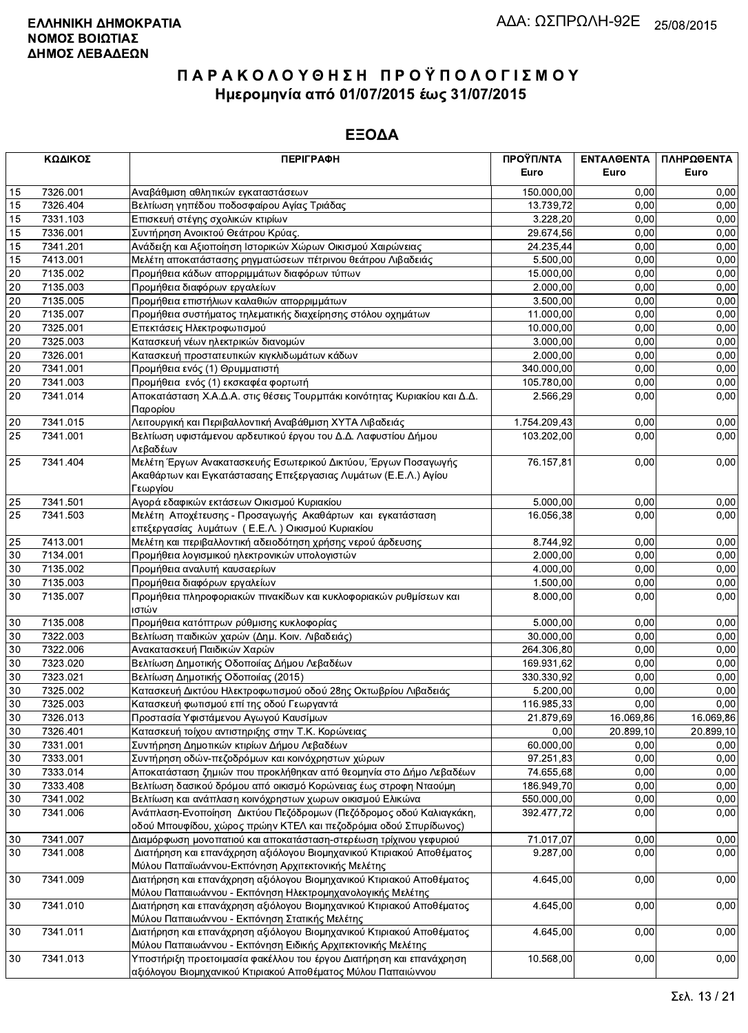|                 | ΚΩΔΙΚΟΣ  | <b>ПЕРІГРАФН</b>                                                                                                                              | ΠΡΟΫΠ/ΝΤΑ    | ΕΝΤΑΛΘΕΝΤΑ | ΠΛΗΡΩΘΕΝΤΑ |
|-----------------|----------|-----------------------------------------------------------------------------------------------------------------------------------------------|--------------|------------|------------|
|                 |          |                                                                                                                                               | Euro         | Euro       | Euro       |
| 15              | 7326.001 | Αναβάθμιση αθλητικών εγκαταστάσεων                                                                                                            | 150.000,00   | 0.00       | 0,00       |
| 15              | 7326.404 | Βελτίωση γηπέδου ποδοσφαίρου Αγίας Τριάδας                                                                                                    | 13.739,72    | 0.00       | 0,00       |
| 15              | 7331.103 | Επισκευή στέγης σχολικών κτιρίων                                                                                                              | 3.228,20     | 0,00       | 0,00       |
| 15              | 7336.001 | Συντήρηση Ανοικτού Θεάτρου Κρύας.                                                                                                             | 29.674,56    | 0,00       | 0,00       |
| 15              | 7341.201 | Ανάδειξη και Αξιοποίηση Ιστορικών Χώρων Οικισμού Χαιρώνειας                                                                                   | 24.235,44    | 0,00       | 0,00       |
| 15              | 7413.001 | Μελέτη αποκατάστασης ρηγματώσεων πέτρινου θεάτρου Λιβαδειάς                                                                                   | 5.500,00     | 0,00       | 0,00       |
| 20              | 7135.002 | Προμήθεια κάδων απορριμμάτων διαφόρων τύπων                                                                                                   | 15.000,00    | 0,00       | 0,00       |
| $20\,$          | 7135.003 | Προμήθεια διαφόρων εργαλείων                                                                                                                  | 2.000,00     | 0,00       | 0,00       |
| $\overline{20}$ | 7135.005 | Προμήθεια επιστήλιων καλαθιών απορριμμάτων                                                                                                    | 3.500,00     | 0,00       | 0,00       |
| $20\,$          | 7135.007 | Προμήθεια συστήματος τηλεματικής διαχείρησης στόλου οχημάτων                                                                                  | 11.000,00    | 0,00       | 0,00       |
| 20              | 7325.001 | Επεκτάσεις Ηλεκτροφωτισμού                                                                                                                    | 10.000,00    | 0,00       | 0,00       |
| 20              | 7325.003 | Κατασκευή νέων ηλεκτρικών διανομών                                                                                                            | 3.000,00     | 0,00       | 0,00       |
| $20\,$          | 7326.001 | Κατασκευή προστατευτικών κιγκλιδωμάτων κάδων                                                                                                  | 2.000,00     | 0,00       | 0,00       |
| $\overline{20}$ | 7341.001 | Προμήθεια ενός (1) Θρυμματιστή                                                                                                                | 340.000,00   | 0,00       | 0,00       |
| 20              | 7341.003 | Προμήθεια ενός (1) εκσκαφέα φορτωτή                                                                                                           | 105.780,00   | 0,00       | 0,00       |
| 20              | 7341.014 | Αποκατάσταση Χ.Α.Δ.Α. στις θέσεις Τουρμπάκι κοινότητας Κυριακίου και Δ.Δ.<br>Παρορίου                                                         | 2.566,29     | 0,00       | 0,00       |
| 20              | 7341.015 | Λειτουργική και Περιβαλλοντική Αναβάθμιση ΧΥΤΑ Λιβαδειάς                                                                                      | 1.754.209,43 | 0,00       | 0,00       |
| $\overline{25}$ | 7341.001 | Βελτίωση υφιστάμενου αρδευτικού έργου του Δ.Δ. Λαφυστίου Δήμου<br>Λεβαδέων                                                                    | 103.202.00   | 0,00       | 0,00       |
| 25              | 7341.404 | Μελέτη Έργων Ανακατασκευής Εσωτερικού Δικτύου, Έργων Ποσαγωγής<br>Ακαθάρτων και Εγκατάστασαης Επεξεργασιας Λυμάτων (Ε.Ε.Λ.) Αγίου<br>Γεωργίου | 76.157,81    | 0,00       | 0,00       |
| 25              | 7341.501 | Αγορά εδαφικών εκτάσεων Οικισμού Κυριακίου                                                                                                    | 5.000,00     | 0,00       | 0,00       |
| 25              | 7341.503 | Μελέτη Αποχέτευσης - Προσαγωγής Ακαθάρτων και εγκατάσταση<br>επεξεργασίας λυμάτων (Ε.Ε.Λ.) Οικισμού Κυριακίου                                 | 16.056,38    | 0,00       | 0,00       |
| 25              | 7413.001 | Μελέτη και περιβαλλοντική αδειοδότηση χρήσης νερού άρδευσης                                                                                   | 8.744,92     | 0,00       | 0,00       |
| 30              | 7134.001 | Προμήθεια λογισμικού ηλεκτρονικών υπολογιστών                                                                                                 | 2.000,00     | 0,00       | 0,00       |
| 30              | 7135.002 | Προμήθεια αναλυτή καυσαερίων                                                                                                                  | 4.000,00     | 0,00       | 0,00       |
| 30              | 7135.003 | Προμήθεια διαφόρων εργαλείων                                                                                                                  | 1.500,00     | 0,00       | 0,00       |
| 30              | 7135.007 | Προμήθεια πληροφοριακών πινακίδων και κυκλοφοριακών ρυθμίσεων και<br>ιστών                                                                    | 8.000,00     | 0,00       | 0,00       |
| 30              | 7135.008 | Προμήθεια κατόπτρων ρύθμισης κυκλοφορίας                                                                                                      | 5.000,00     | 0,00       | 0,00       |
| 30              | 7322.003 | Βελτίωση παιδικών χαρών (Δημ. Κοιν. Λιβαδειάς)                                                                                                | 30.000,00    | 0,00       | 0,00       |
| 30              | 7322.006 | Ανακατασκευή Παιδικών Χαρών                                                                                                                   | 264.306.80   | 0,00       | 0,00       |
| 30              | 7323.020 | Βελτίωση Δημοτικής Οδοποιίας Δήμου Λεβαδέων                                                                                                   | 169.931,62   | 0,00       | 0,00       |
| 30              | 7323.021 | Βελτίωση Δημοτικής Οδοποιίας (2015)                                                                                                           | 330.330,92   | 0,00       | 0,00       |
| 30              | 7325.002 | Κατασκευή Δικτύου Ηλεκτροφωτισμού οδού 28ης Οκτωβρίου Λιβαδειάς                                                                               | 5.200,00     | 0,00       | 0,00       |
| $\overline{30}$ | 7325.003 | Κατασκευή φωτισμού επί της οδού Γεωργαντά                                                                                                     | 116.985,33   | 0,00       | 0,00       |
| 30              | 7326.013 | Προστασία Υφιστάμενου Αγωγού Καυσίμων                                                                                                         | 21.879,69    | 16.069,86  | 16.069,86  |
| 30              | 7326.401 | Κατασκευή τοίχου αντιστηριξης στην Τ.Κ. Κορώνειας                                                                                             | 0,00         | 20.899,10  | 20.899,10  |
| $30\,$          | 7331.001 | Συντήρηση Δημοτικών κτιρίων Δήμου Λεβαδέων                                                                                                    | 60.000,00    | 0,00       | 0,00       |
| 30              | 7333.001 | Συντήρηση οδών-πεζοδρόμων και κοινόχρηστων χώρων                                                                                              | 97.251,83    | 0,00       | 0,00       |
| 30              | 7333.014 | Αποκατάσταση ζημιών που προκλήθηκαν από θεομηνία στο Δήμο Λεβαδέων                                                                            | 74.655,68    | 0,00       | 0,00       |
| 30              | 7333.408 | Βελτίωση δασικού δρόμου από οικισμό Κορώνειας έως στροφη Νταούμη                                                                              | 186.949,70   | 0,00       | 0,00       |
| $30\,$          | 7341.002 | Βελτίωση και ανάπλαση κοινόχρηστων χωρων οικισμού Ελικώνα                                                                                     | 550.000,00   | 0,00       | 0,00       |
| 30              | 7341.006 | Ανάπλαση-Ενοποίηση Δικτύου Πεζόδρομων (Πεζόδρομος οδού Καλιαγκάκη,<br>οδού Μπουφίδου, χώρος πρώην ΚΤΕΛ και πεζοδρόμια οδού Σπυρίδωνος)        | 392.477,72   | 0,00       | 0,00       |
| $30\,$          | 7341.007 | Διαμόρφωση μονοπατιού και αποκατάσταση-στερέωση τρίχινου γεφυριού                                                                             | 71.017,07    | 0,00       | 0,00       |
| 30              | 7341.008 | Διατήρηση και επανάχρηση αξιόλογου Βιομηχανικού Κτιριακού Αποθέματος<br>Μύλου Παπαϊωάννου-Εκπόνηση Αρχιτεκτονικής Μελέτης                     | 9.287,00     | 0,00       | 0,00       |
| 30              | 7341.009 | Διατήρηση και επανάχρηση αξιόλογου Βιομηχανικού Κτιριακού Αποθέματος<br>Μύλου Παπαιωάννου - Εκπόνηση Ηλεκτρομηχανολογικής Μελέτης             | 4.645,00     | 0,00       | 0,00       |
| 30              | 7341.010 | Διατήρηση και επανάχρηση αξιόλογου Βιομηχανικού Κτιριακού Αποθέματος<br>Μύλου Παπαιωάννου - Εκπόνηση Στατικής Μελέτης                         | 4.645,00     | 0,00       | 0,00       |
| 30              | 7341.011 | Διατήρηση και επανάχρηση αξιόλογου Βιομηχανικού Κτιριακού Αποθέματος                                                                          | 4.645,00     | 0,00       | 0,00       |
|                 |          | Μύλου Παπαιωάννου - Εκπόνηση Ειδικής Αρχιτεκτονικής Μελέτης                                                                                   |              |            |            |
| 30              | 7341.013 | Υποστήριξη προετοιμασία φακέλλου του έργου Διατήρηση και επανάχρηση<br>αξιόλονου Βιομηχανικού Κτιριακού Αποθέματος Μύλου Παπαιώννου           | 10.568,00    | 0,00       | 0,00       |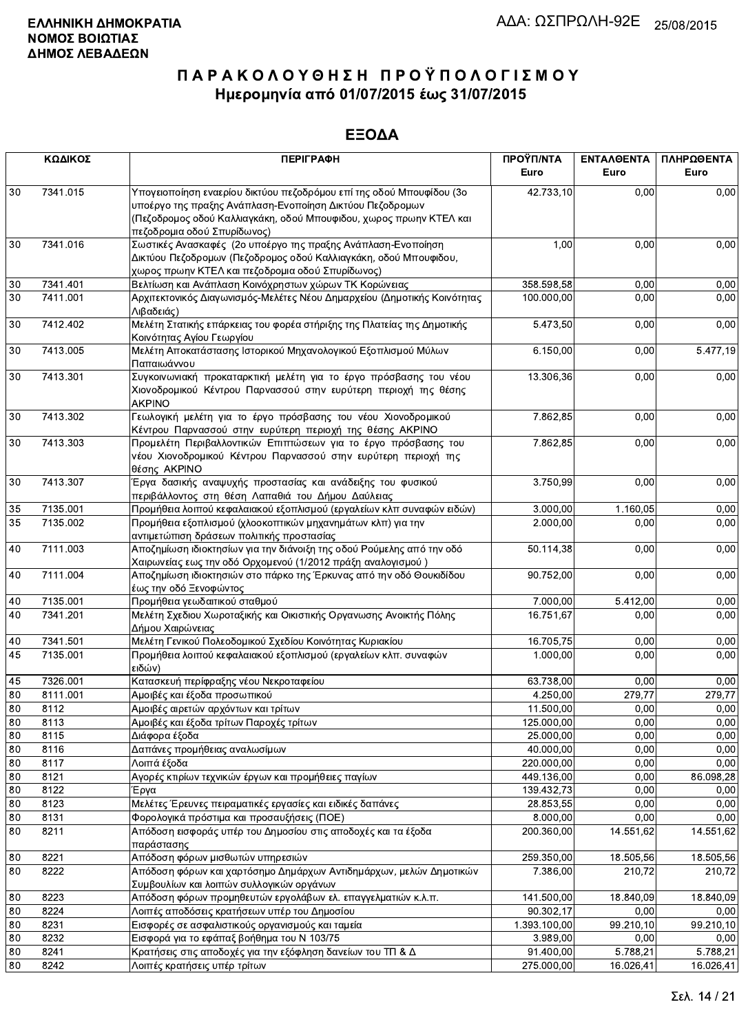|          | ΚΩΔΙΚΟΣ      | <b>ПЕРІГРАФН</b>                                                                                                                                                                                                                      | ΠΡΟΫΠ/ΝΤΑ<br>Euro       | <b>ENTAA@ENTA</b><br>Euro | ΠΛΗΡΩΘΕΝΤΑ<br>Euro |
|----------|--------------|---------------------------------------------------------------------------------------------------------------------------------------------------------------------------------------------------------------------------------------|-------------------------|---------------------------|--------------------|
| 30       | 7341.015     | Υπογειοποίηση εναερίου δικτύου πεζοδρόμου επί της οδού Μπουφίδου (3ο<br>υποέργο της πραξης Ανάπλαση-Ενοποίηση Δικτύου Πεζοδρομων<br>(Πεζοδρομος οδού Καλλιαγκάκη, οδού Μπουφιδου, χωρος πρωην ΚΤΕΛ και<br>πεζοδρομια οδού Σπυρίδωνος) | 42.733,10               | 0,00                      | 0,00               |
| 30       | 7341.016     | Σωστικές Ανασκαφές (2ο υποέργο της πραξης Ανάπλαση-Ενοποίηση<br>Δικτύου Πεζοδρομων (Πεζοδρομος οδού Καλλιαγκάκη, οδού Μπουφιδου,<br>χωρος πρωην ΚΤΕΛ και πεζοδρομια οδού Σπυρίδωνος)                                                  | 1,00                    | 0,00                      | 0,00               |
| 30       | 7341.401     | Βελτίωση και Ανάπλαση Κοινόχρηστων χώρων ΤΚ Κορώνειας                                                                                                                                                                                 | 358.598,58              | 0,00                      | 0,00               |
| 30       | 7411.001     | Αρχιτεκτονικός Διαγωνισμός-Μελέτες Νέου Δημαρχείου (Δημοτικής Κοινότητας<br>Λιβαδειάς)                                                                                                                                                | 100.000,00              | 0,00                      | 0,00               |
| 30       | 7412.402     | Μελέτη Στατικής επάρκειας του φορέα στήριξης της Πλατείας της Δημοτικής<br>Κοινότητας Αγίου Γεωργίου                                                                                                                                  | 5.473,50                | 0,00                      | 0,00               |
| 30       | 7413.005     | Μελέτη Αποκατάστασης Ιστορικού Μηχανολογικού Εξοπλισμού Μύλων<br>Παπαιωάννου                                                                                                                                                          | 6.150,00                | 0,00                      | 5.477,19           |
| 30       | 7413.301     | Συγκοινωνιακή προκαταρκτική μελέτη για το έργο πρόσβασης του νέου<br>Χιονοδρομικού Κέντρου Παρνασσού στην ευρύτερη περιοχή της θέσης<br><b>AKPINO</b>                                                                                 | 13.306,36               | 0,00                      | 0,00               |
| 30       | 7413.302     | Γεωλογική μελέτη για το έργο πρόσβασης του νέου Χιονοδρομικού<br>Κέντρου Παρνασσού στην ευρύτερη περιοχή της θέσης ΑΚΡΙΝΟ                                                                                                             | 7.862,85                | 0,00                      | 0,00               |
| 30       | 7413.303     | Προμελέτη Περιβαλλοντικών Επιπτώσεων για το έργο πρόσβασης του<br>νέου Χιονοδρομικού Κέντρου Παρνασσού στην ευρύτερη περιοχή της<br>θέσης AKPINO                                                                                      | 7.862,85                | 0,00                      | 0,00               |
| 30       | 7413.307     | Έργα δασικής αναψυχής προστασίας και ανάδειξης του φυσικού<br>περιβάλλοντος στη θέση Λαπαθιά του Δήμου Δαύλειας                                                                                                                       | 3.750,99                | 0,00                      | 0,00               |
| 35       | 7135.001     | Προμήθεια λοιπού κεφαλαιακού εξοπλισμού (εργαλείων κλπ συναφών ειδών)                                                                                                                                                                 | 3.000,00                | 1.160,05                  | 0,00               |
| 35       | 7135.002     | Προμήθεια εξοπλισμού (χλοοκοπτικών μηχανημάτων κλπ) για την<br>αντιμετώπιση δράσεων πολιτικής προστασίας                                                                                                                              | 2.000,00                | 0,00                      | 0,00               |
| 40       | 7111.003     | Αποζημίωση ιδιοκτησίων για την διάνοιξη της οδού Ρούμελης από την οδό<br>Χαιρωνείας εως την οδό Ορχομενού (1/2012 πράξη αναλογισμού)                                                                                                  | 50.114,38               | 0,00                      | 0,00               |
| 40       | 7111.004     | Αποζημίωση ιδιοκτησιών στο πάρκο της Έρκυνας από την οδό Θουκιδίδου<br>έως την οδό Ξενοφώντος                                                                                                                                         | 90.752,00               | 0,00                      | 0,00               |
| 40       | 7135.001     | Προμήθεια γεωδαιτικού σταθμού                                                                                                                                                                                                         | 7.000,00                | 5.412,00                  | 0,00               |
| 40       | 7341.201     | Μελέτη Σχεδιου Χωροταξικής και Οικιστικής Οργανωσης Ανοικτής Πόλης<br>Δήμου Χαιρώνειας                                                                                                                                                | 16.751,67               | 0,00                      | 0,00               |
| 40       | 7341.501     | Μελέτη Γενικού Πολεοδομικού Σχεδίου Κοινότητας Κυριακίου                                                                                                                                                                              | 16.705,75               | 0,00                      | 0,00               |
| 45       | 7135.001     | Προμήθεια λοιπού κεφαλαιακού εξοπλισμού (εργαλείων κλπ. συναφών<br>ειδών)                                                                                                                                                             | 1.000,00                | 0.00                      | 0,00               |
| 45       | 7326.001     | Κατασκευή περίφραξης νέου Νεκροταφείου                                                                                                                                                                                                | 63.738,00               | 0,00                      | 0,00               |
| 80       | 8111.001     | Αμοιβές και έξοδα προσωπικού                                                                                                                                                                                                          | 4.250,00                | 279,77                    | 279,77             |
| 80       | 8112         | Αμοιβές αιρετών αρχόντων και τρίτων                                                                                                                                                                                                   | 11.500,00               | 0,00                      | 0,00               |
| 80       | 8113         | Αμοιβές και έξοδα τρίτων Παροχές τρίτων                                                                                                                                                                                               | 125.000,00              | 0,00                      | 0,00               |
| 80       | 8115         | Διάφορα έξοδα                                                                                                                                                                                                                         | 25.000,00               | 0,00                      | 0,00               |
| 80<br>80 | 8116<br>8117 | Δαπάνες προμήθειας αναλωσίμων<br>Λοιπά έξοδα                                                                                                                                                                                          | 40.000,00<br>220.000,00 | 0,00<br>0,00              | 0,00<br>0,00       |
| 80       | 8121         | Αγορές κτιρίων τεχνικών έργων και προμήθειες παγίων                                                                                                                                                                                   | 449.136,00              | 0,00                      | 86.098,28          |
| 80       | 8122         | Έργα                                                                                                                                                                                                                                  | 139.432,73              | 0,00                      | 0,00               |
| 80       | 8123         | Μελέτες Έρευνες πειραματικές εργασίες και ειδικές δαπάνες                                                                                                                                                                             | 28.853,55               | 0,00                      | 0,00               |
| 80       | 8131         | Φορολογικά πρόστιμα και προσαυξήσεις (ΠΟΕ)                                                                                                                                                                                            | 8.000,00                | 0,00                      | 0,00               |
| 80       | 8211         | Απόδοση εισφοράς υπέρ του Δημοσίου στις αποδοχές και τα έξοδα<br>παράστασης                                                                                                                                                           | 200.360,00              | 14.551,62                 | 14.551,62          |
| 80       | 8221         | Απόδοση φόρων μισθωτών υπηρεσιών                                                                                                                                                                                                      | 259.350,00              | 18.505,56                 | 18.505,56          |
| 80       | 8222         | Απόδοση φόρων και χαρτόσημο Δημάρχων Αντιδημάρχων, μελών Δημοτικών<br>Συμβουλίων και λοιπών συλλογικών οργάνων                                                                                                                        | 7.386,00                | 210,72                    | 210,72             |
| 80       | 8223         | Απόδοση φόρων προμηθευτών εργολάβων ελ. επαγγελματιών κ.λ.π.                                                                                                                                                                          | 141.500,00              | 18.840,09                 | 18.840,09          |
| 80       | 8224         | Λοιπές αποδόσεις κρατήσεων υπέρ του Δημοσίου                                                                                                                                                                                          | 90.302,17               | 0,00                      | 0,00               |
| 80       | 8231         | Εισφορές σε ασφαλιστικούς οργανισμούς και ταμεία                                                                                                                                                                                      | 1.393.100,00            | 99.210,10                 | 99.210,10          |
| 80       | 8232         | Εισφορά για το εφάπαξ βοήθημα του Ν 103/75                                                                                                                                                                                            | 3.989,00                | 0,00                      | 0,00               |
| 80       | 8241         | Κρατήσεις στις αποδοχές για την εξόφληση δανείων του ΤΠ & Δ                                                                                                                                                                           | 91.400,00               | 5.788,21                  | 5.788,21           |
| 80       | 8242         | Λοιπές κρατήσεις υπέρ τρίτων                                                                                                                                                                                                          | 275.000,00              | 16.026,41                 | 16.026,41          |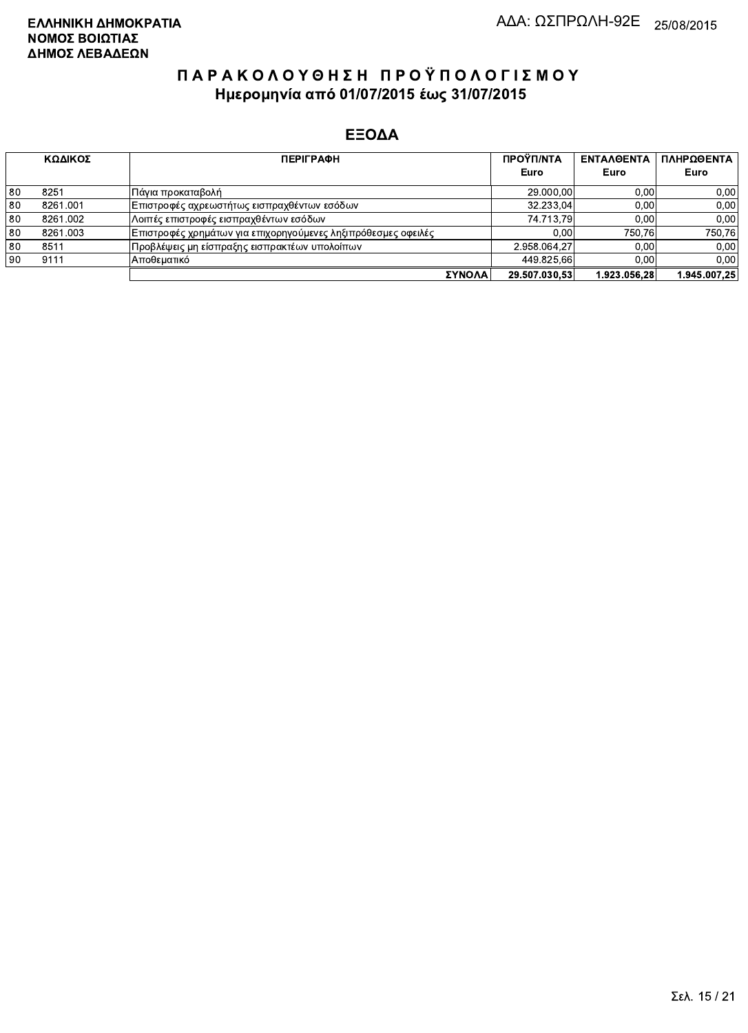|    | ΚΩΔΙΚΟΣ  | <b>ПЕРІГРАФН</b>                                               | ΠΡΟΫΠ/ΝΤΑ     | <b>ENTAA@ENTA</b> | ΠΛΗΡΩΘΕΝΤΑ   |
|----|----------|----------------------------------------------------------------|---------------|-------------------|--------------|
|    |          |                                                                | Euro          | Euro              | Euro         |
| 80 | 8251     | Πάγια προκαταβολή                                              | 29.000,00     | 0.00              | 0,00         |
| 80 | 8261.001 | Επιστροφές αχρεωστήτως εισπραχθέντων εσόδων                    | 32.233.04     | 0.00              | 0,00         |
| 80 | 8261.002 | Λοιπές επιστροφές εισπραχθέντων εσόδων                         | 74.713.79     | 0.00 <sub>1</sub> | 0.00         |
| 80 | 8261.003 | Επιστροφές χρημάτων για επιχορηγούμενες ληξιπρόθεσμες οφειλές_ | 0.00          | 750.76            | 750.76       |
| 80 | 8511     | Προβλέψεις μη είσπραξης εισπρακτέων υπολοίπων                  | 2.958.064.27  | 0.00              | 0.00         |
| 90 | 9111     | Αποθεματικό                                                    | 449.825,66    | 0.00              | 0.00         |
|    |          | ΣΥΝΟΛΑ                                                         | 29.507.030.53 | 1.923.056.28      | 1.945.007.25 |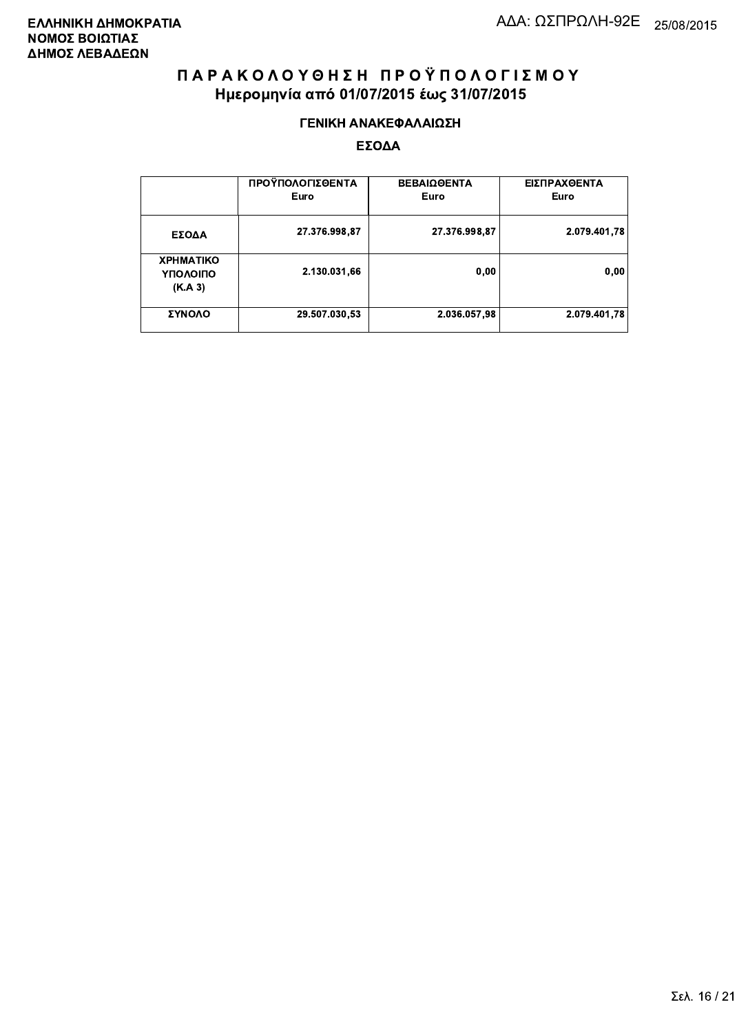#### ΓΕΝΙΚΗ ΑΝΑΚΕΦΑΛΑΙΩΣΗ

|                                         | ΠΡΟΫΠΟΛΟΓΙΣΘΕΝΤΑ<br>Euro | <b>ΒΕΒΑΙΩΘΕΝΤΑ</b><br>Euro | ΕΙΣΠΡΑΧΘΕΝΤΑ<br>Euro |
|-----------------------------------------|--------------------------|----------------------------|----------------------|
| ΕΣΟΔΑ                                   | 27.376.998,87            | 27.376.998,87              | 2.079.401.78         |
| <b>XPHMATIKO</b><br>ΥΠΟΛΟΙΠΟ<br>(K.A.3) | 2.130.031,66             | 0,00                       | 0.00                 |
| ΣΥΝΟΛΟ                                  | 29.507.030,53            | 2.036.057,98               | 2.079.401.78         |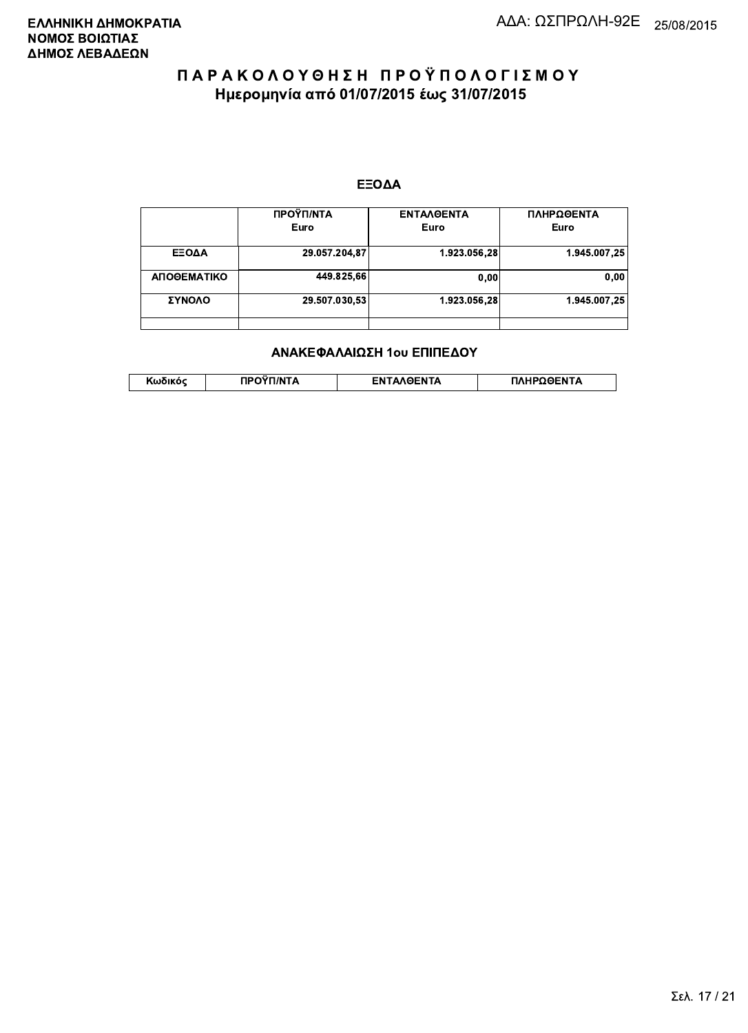#### ΕΞΟΔΑ

|             | ΠΡΟΫΠ/ΝΤΑ<br>Euro | <b>ENTAAGENTA</b><br>Euro | ΠΛΗΡΩΘΕΝΤΑ<br>Euro |
|-------------|-------------------|---------------------------|--------------------|
| ΕΞΟΔΑ       | 29.057.204,87     | 1.923.056,28              | 1.945.007,25       |
| ΑΠΟΘΕΜΑΤΙΚΟ | 449.825,66        | 0,00                      | 0,00               |
| ΣΥΝΟΛΟ      | 29.507.030,53     | 1.923.056.28              | 1.945.007,25       |
|             |                   |                           |                    |

#### ΑΝΑΚΕΦΑΛΑΙΩΣΗ 1ου ΕΠΙΠΕΔΟΥ

|  | . | <b>TINTA</b> | ົ° PENTA | ΗΡΩΘΕΝΤΔ |
|--|---|--------------|----------|----------|
|--|---|--------------|----------|----------|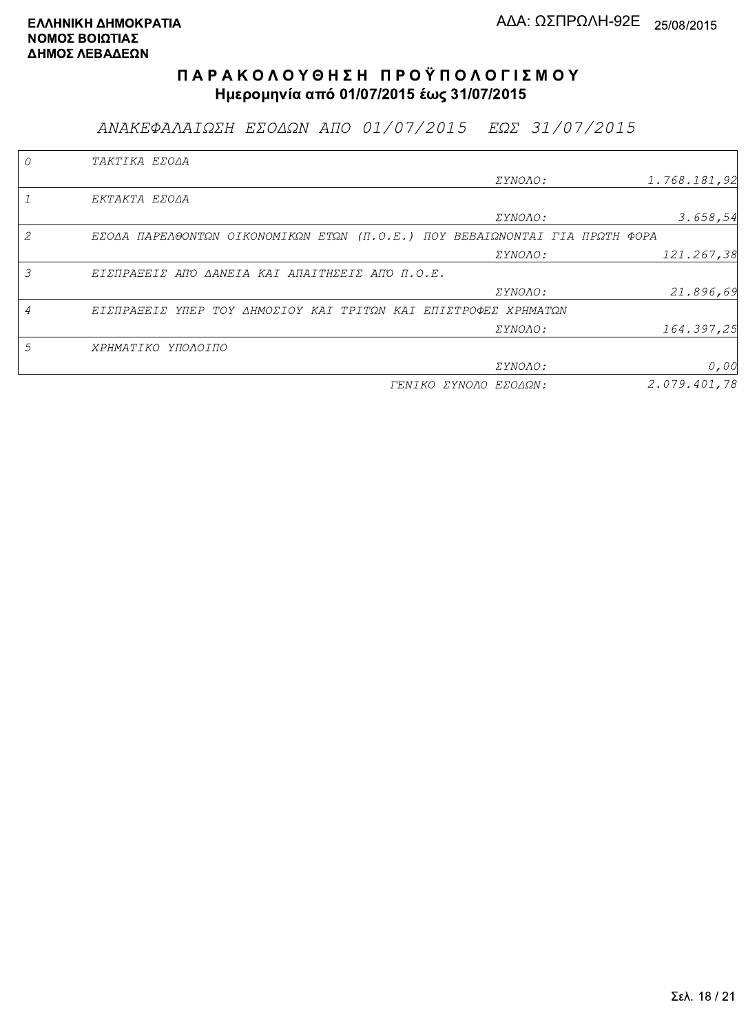ΑΝΑΚΕΦΑΛΑΙΩΣΗ ΕΣΟΔΩΝ ΑΠΟ 01/07/2015 ΕΩΣ 31/07/2015

|   | TAKTIKA EZOAA                                                               |                       |              |
|---|-----------------------------------------------------------------------------|-----------------------|--------------|
|   |                                                                             | <i>EYNOAO:</i>        | 1.768.181,92 |
|   | EKTAKTA EZOAA                                                               |                       |              |
|   |                                                                             | <i>EYNOAO:</i>        | 3.658,54     |
| 2 | ΕΣΟΔΑ ΠΑΡΕΛΘΟΝΤΩΝ ΟΙΚΟΝΟΜΙΚΩΝ ΕΤΩΝ (Π.Ο.Ε.) ΠΟΥ ΒΕΒΑΙΩΝΟΝΤΑΙ ΓΙΑ ΠΡΩΤΗ ΦΟΡΑ |                       |              |
|   |                                                                             | ΣΥΝΟΛΟ:               | 121.267,38   |
| 3 | ΕΙΣΠΡΑΞΕΙΣ ΑΠΌ ΔΑΝΕΙΑ ΚΑΙ ΑΠΑΙΤΗΣΕΙΣ ΑΠΌ Π.Ο.Ε.                             |                       |              |
|   |                                                                             | ΣΥΝΟΛΟ:               | 21.896,69    |
|   | ΕΙΣΠΡΑΞΕΙΣ ΥΠΕΡ ΤΟΥ ΔΗΜΟΣΙΟΥ ΚΑΙ ΤΡΙΤΩΝ ΚΑΙ ΕΠΙΣΤΡΟΦΕΣ ΧΡΗΜΑΤΩΝ             |                       |              |
|   |                                                                             | <i>EYNOAO:</i>        | 164.397,25   |
| 5 | ΧΡΗΜΑΤΙΚΟ ΥΠΟΛΟΙΠΟ                                                          |                       |              |
|   |                                                                             | ΣΥΝΟΛΟ:               | 0,00         |
|   |                                                                             | ΓΕΝΙΚΟ ΣΥΝΟΛΟ ΕΣΟΔΩΝ: | 2.079.401.78 |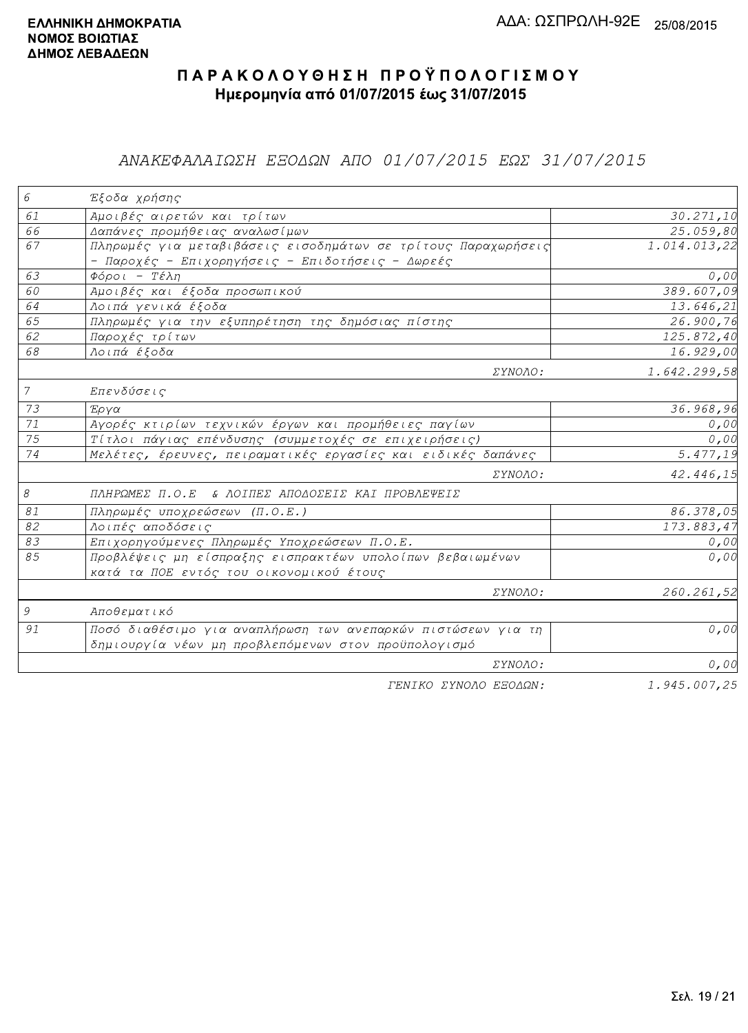## ΑΝΑΚΕΦΑΛΑΙΩΣΗ ΕΞΟΔΩΝ ΑΠΟ 01/07/2015 ΕΩΣ 31/07/2015

| 6               | Έξοδα χρήσης                                                  |                       |
|-----------------|---------------------------------------------------------------|-----------------------|
| 61              | Αμοιβές αιρετών και τρίτων                                    | 30.271,10             |
| 66              | Δαπάνες προμήθειας αναλωσίμων                                 | 25.059,80             |
| 67              | Πληρωμές για μεταβιβάσεις εισοδημάτων σε τρίτους Παραχωρήσεις | 1.014.013,22          |
|                 | - Παροχές - Επιχορηγήσεις - Επιδοτήσεις - Δωρεές              |                       |
| 63              | Φόροι - Τέλη                                                  | 0,00                  |
| 60              | Αμοιβές και έξοδα προσωπικού                                  | 389.607,09            |
| 64              | Λοιπά γενικά έξοδα                                            | 13.646,21             |
| 65              | Πληρωμές για την εξυπηρέτηση της δημόσιας πίστης              | 26.900,76             |
| 62              | Παροχές τρίτων                                                | 125.872,40            |
| 68              | Λοιπά έξοδα                                                   | 16.929,00             |
|                 | ΣΥΝΟΛΟ:                                                       | 1.642.299,58          |
| $7\overline{ }$ | Επενδύσεις                                                    |                       |
| 73              | Έργα                                                          | 36.968,96             |
| $\overline{71}$ | Αγορές κτιρίων τεχνικών έργων και προμήθειες παγίων           | 0,00                  |
| $\overline{75}$ | Τίτλοι πάγιας επένδυσης (συμμετοχές σε επιχειρήσεις)          | 0,00                  |
| 74              | Μελέτες, έρευνες, πειραματικές εργασίες και ειδικές δαπάνες   | $\overline{5.477,19}$ |
|                 | ΣΥΝΟΛΟ:                                                       | 42.446,15             |
| 8               | ΠΛΗΡΩΜΕΣ Π.Ο.Ε & ΛΟΙΠΕΣ ΑΠΟΔΟΣΕΙΣ ΚΑΙ ΠΡΟΒΛΕΨΕΙΣ              |                       |
| $\mathcal{S}1$  | Πληρωμές υποχρεώσεων (Π.Ο.Ε.)                                 | 86.378,05             |
| 82              | Λοιπές αποδόσεις                                              | 173.883,47            |
| 83              | Επιχορηγούμενες Πληρωμές Υποχρεώσεων Π.Ο.Ε.                   | 0,00                  |
| 85              | Προβλέψεις μη είσπραξης εισπρακτέων υπολοίπων βεβαιωμένων     | 0,00                  |
|                 | κατά τα ΠΟΕ εντός του οικονομικού έτους                       |                       |
|                 | ΣΥΝΟΛΟ:                                                       | 260.261,52            |
| 9               | Αποθεματικό                                                   |                       |
| 91              | Ποσό διαθέσιμο για αναπλήρωση των ανεπαρκών πιστώσεων για τη  | 0,00                  |
|                 | δημιουργία νέων μη προβλεπόμενων στον προϋπολογισμό           |                       |
|                 | ΣΥΝΟΛΟ:                                                       | 0,00                  |
|                 | FENIKO XYNOAO ESOAON:                                         | 1.945.007.25          |